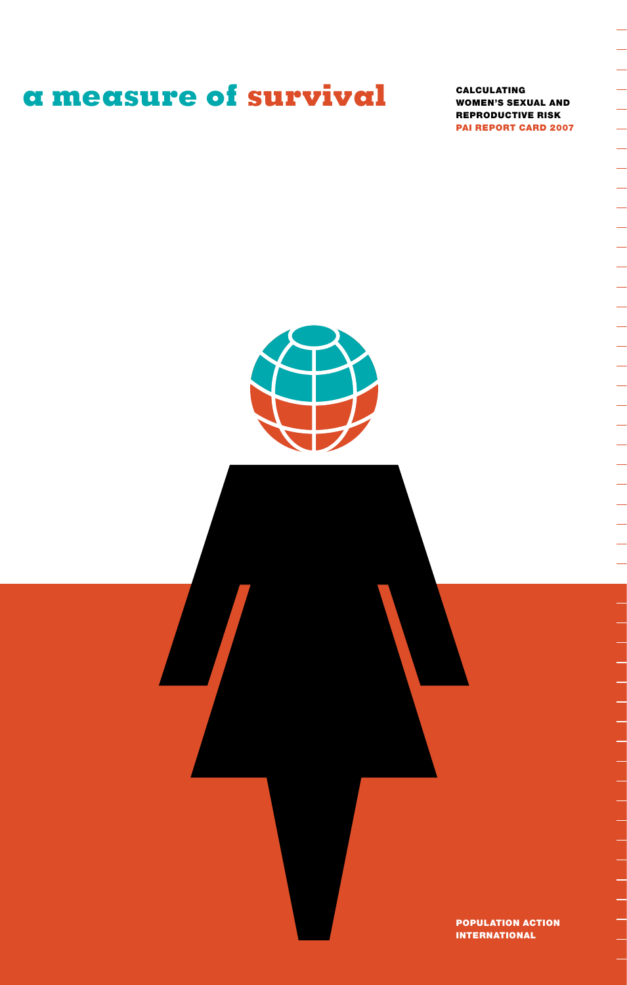# **a measure of survival** CALCULATING

Women's Sexual And Reproductive Risk PAI Report Card 2007 ÷

--------------------------------------

L



Population Action International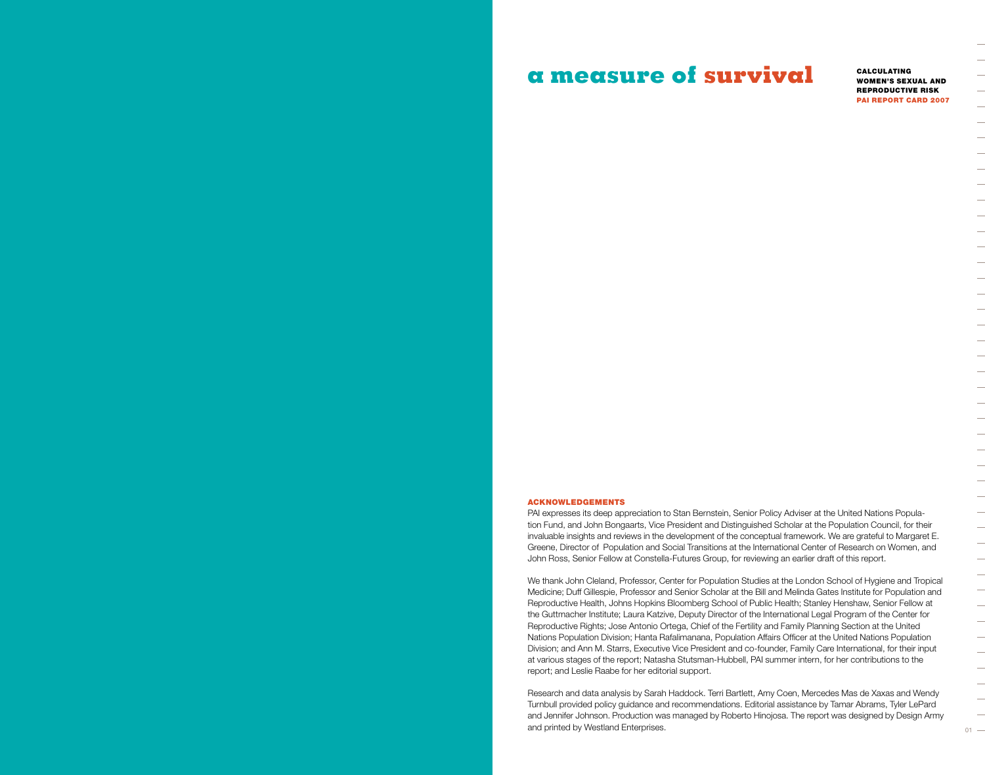# **a measure of survival** CALCULATING

Women's Sexual And Reproductive Risk PAI Report Card 2007

#### Acknowledgements

PAI expresses its deep appreciation to Stan Bernstein, Senior Policy Adviser at the United Nations Population Fund, and John Bongaarts, Vice President and Distinguished Scholar at the Population Council, for their invaluable insights and reviews in the development of the conceptual framework. We are grateful to Margaret E. Greene, Director of Population and Social Transitions at the International Center of Research on Women, and John Ross, Senior Fellow at Constella-Futures Group, for reviewing an earlier draft of this report.

We thank John Cleland, Professor, Center for Population Studies at the London School of Hygiene and Tropical Medicine; Duff Gillespie, Professor and Senior Scholar at the Bill and Melinda Gates Institute for Population and Reproductive Health, Johns Hopkins Bloomberg School of Public Health; Stanley Henshaw, Senior Fellow at the Guttmacher Institute; Laura Katzive, Deputy Director of the International Legal Program of the Center for Reproductive Rights; Jose Antonio Ortega, Chief of the Fertility and Family Planning Section at the United Nations Population Division; Hanta Rafalimanana, Population Affairs Officer at the United Nations Population Division; and Ann M. Starrs, Executive Vice President and co-founder, Family Care International, for their input at various stages of the report; Natasha Stutsman-Hubbell, PAI summer intern, for her contributions to the report; and Leslie Raabe for her editorial support.

Research and data analysis by Sarah Haddock. Terri Bartlett, Amy Coen, Mercedes Mas de Xaxas and Wendy Turnbull provided policy guidance and recommendations. Editorial assistance by Tamar Abrams, Tyler LePard and Jennifer Johnson. Production was managed by Roberto Hinojosa. The report was designed by Design Army and printed by Westland Enterprises.  $101 -$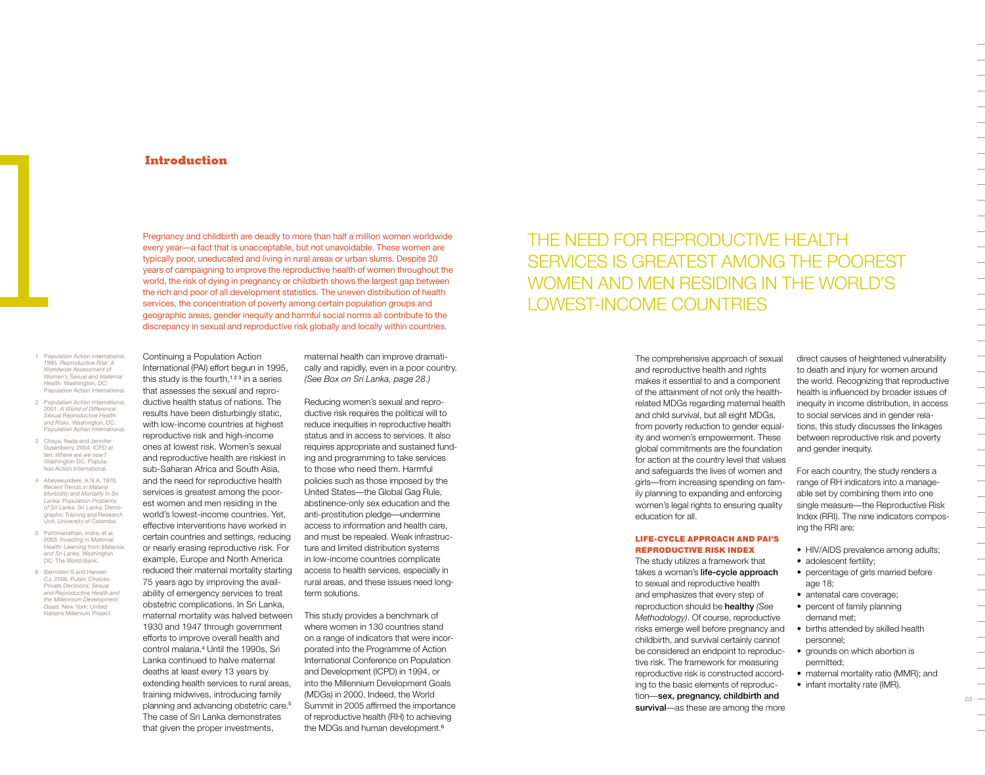# **Introduction**

Pregnancy and childbirth are deadly to more than half a million women worldwide every year—a fact that is unacceptable, but not unavoidable. These women are typically poor, uneducated and living in rural areas or urban slums. Despite 20 years of campaigning to improve the reproductive health of women throughout the world, the risk of dying in pregnancy or childbirth shows the largest gap between the rich and poor of all development statistics. The uneven distribution of health services, the concentration of poverty among certain population groups and geographic areas, gender inequity and harmful social norms all contribute to the discrepancy in sexual and reproductive risk globally and locally within countries.

- 1 Population Action International. 1995. *Reproductive Risk: A Worldwide Assessment of Women's Sexual and Maternal Health*. Washington, DC: Population Action International.
- 2 Population Action International 2001. *A World of Difference: Sexual Reproductive Health and Risks*. Washington, DC: Population Action International.
- 3 Chaya, Nada and Jennifer Dusenberry. 2004. *ICPD at ten: Where are we now?* Washington DC: Population Action International.
- 4 Abeyesundere, A.N.A. 1976. *Recent Trends in Malaria Morbidity and Mortality in Sri Lanka: Population Problems of Sri Lanka*. Sri Lanka: Demographic Training and Research Unit, University of Colombo.
- 5 Pathmanathan, Indra, et al. 2003. *Investing in Maternal Health: Learning from Malaysia and Sri Lanka*. Washington DC: The World Bank.
- 6 Bernstein S and Hansen CJ. 2006. *Public Choices, Private Decisions: Sexual and Reproductive Health and the Millennium Development Goals*. New York: United Nations Millenium Project.

this study is the fourth, $123$  in a series that assesses the sexual and reproductive health status of nations. The results have been disturbingly static, with low-income countries at highest reproductive risk and high-income ones at lowest risk. Women's sexual and reproductive health are riskiest in sub-Saharan Africa and South Asia, and the need for reproductive health services is greatest among the poorest women and men residing in the world's lowest-income countries. Yet, effective interventions have worked in certain countries and settings, reducing or nearly erasing reproductive risk. For example, Europe and North America reduced their maternal mortality starting 75 years ago by improving the availability of emergency services to treat obstetric complications. In Sri Lanka, maternal mortality was halved between 1930 and 1947 through government efforts to improve overall health and control malaria.<sup>4</sup> Until the 1990s, Sri Lanka continued to halve maternal deaths at least every 13 years by extending health services to rural areas, training midwives, introducing family planning and advancing obstetric care.<sup>5</sup> The case of Sri Lanka demonstrates that given the proper investments,

Continuing a Population Action International (PAI) effort begun in 1995, maternal health can improve dramatically and rapidly, even in a poor country. *(See Box on Sri Lanka, page 28.)*

Reducing women's sexual and reproductive risk requires the political will to reduce inequities in reproductive health status and in access to services. It also requires appropriate and sustained funding and programming to take services to those who need them. Harmful policies such as those imposed by the United States—the Global Gag Rule, abstinence-only sex education and the anti-prostitution pledge—undermine access to information and health care, and must be repealed. Weak infrastructure and limited distribution systems in low-income countries complicate access to health services, especially in rural areas, and these issues need longterm solutions.

This study provides a benchmark of where women in 130 countries stand on a range of indicators that were incorporated into the Programme of Action International Conference on Population and Development (ICPD) in 1994, or into the Millennium Development Goals (MDGs) in 2000. Indeed, the World Summit in 2005 affirmed the importance of reproductive health (RH) to achieving the MDGs and human development.<sup>6</sup>

# THE NEED FOR REPRODUCTIVE HEALTH services is greatest among the poorest WOMEN AND MEN RESIDING IN THE WORLD'S lowest-income countries

The comprehensive approach of sexual and reproductive health and rights makes it essential to and a component of the attainment of not only the healthrelated MDGs regarding maternal health and child survival, but all eight MDGs, from poverty reduction to gender equality and women's empowerment. These global commitments are the foundation for action at the country level that values and safeguards the lives of women and girls—from increasing spending on family planning to expanding and enforcing women's legal rights to ensuring quality education for all.

#### Life-cycle Approach And PAI's Reproductive Risk Index

The study utilizes a framework that takes a woman's life-cycle approach to sexual and reproductive health and emphasizes that every step of reproduction should be healthy *(See Methodology)*. Of course, reproductive risks emerge well before pregnancy and childbirth, and survival certainly cannot be considered an endpoint to reproductive risk. The framework for measuring reproductive risk is constructed according to the basic elements of reproduction—sex, pregnancy, childbirth and survival—as these are among the more

direct causes of heightened vulnerability to death and injury for women around the world. Recognizing that reproductive health is influenced by broader issues of inequity in income distribution, in access to social services and in gender relations, this study discusses the linkages between reproductive risk and poverty and gender inequity.

For each country, the study renders a range of RH indicators into a manageable set by combining them into one single measure—the Reproductive Risk Index (RRI). The nine indicators composing the RRI are:

- HIV/AIDS prevalence among adults; • adolescent fertility;
- percentage of girls married before age 18;
- antenatal care coverage;
- percent of family planning demand met;
- births attended by skilled health personnel;
- grounds on which abortion is permitted;
- maternal mortality ratio (MMR); and • infant mortality rate (IMR).

 $03 -$ 

 $\overline{\phantom{0}}$ 

 $\overline{\phantom{0}}$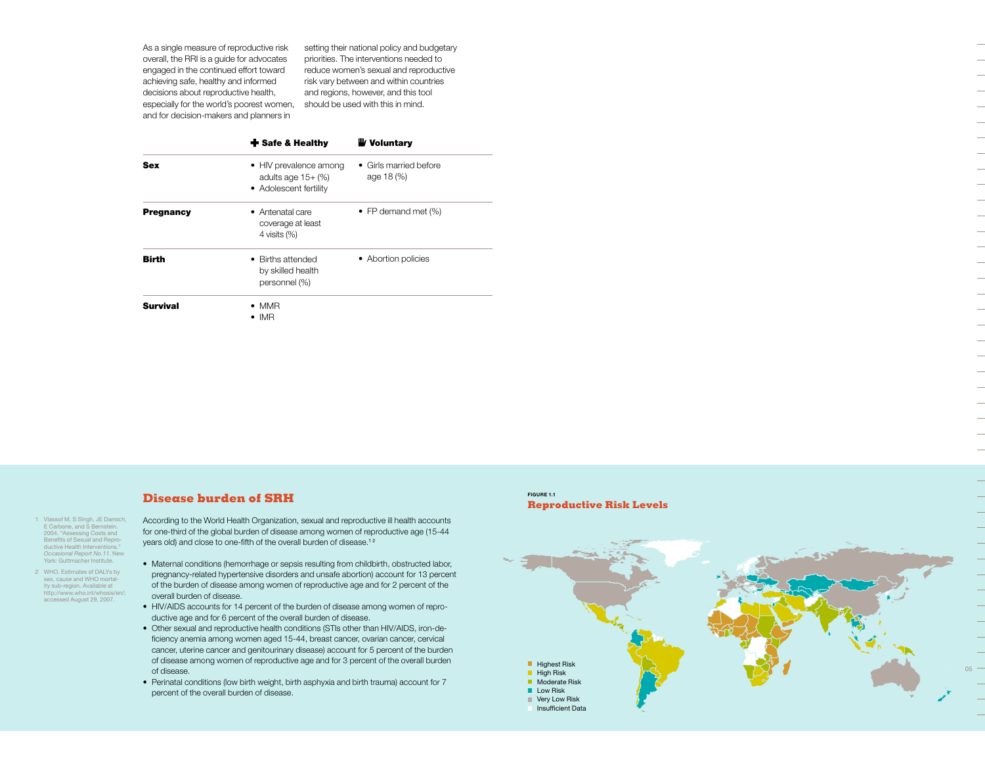As a single measure of reproductive risk overall, the RRI is a guide for advocates engaged in the continued effort toward achieving safe, healthy and informed decisions about reproductive health, especially for the world's poorest women, and for decision-makers and planners in

setting their national policy and budgetary priorities. The interventions needed to reduce women's sexual and reproductive risk vary between and within countries and regions, however, and this tool should be used with this in mind.

|                  | $\div$ Safe & Healthy                                                              | <b>W</b> Voluntary                   |
|------------------|------------------------------------------------------------------------------------|--------------------------------------|
| <b>Sex</b>       | • HIV prevalence among<br>adults age $15+$ $\frac{1}{2}$<br>• Adolescent fertility | • Girls married before<br>age 18 (%) |
| <b>Pregnancy</b> | • Antenatal care<br>coverage at least<br>4 visits $(\%)$                           | • FP demand met $(\%)$               |
| Birth            | • Births attended<br>by skilled health<br>personnel (%)                            | • Abortion policies                  |
| <b>Survival</b>  | $\bullet$ MMR<br>$\bullet$ IMR                                                     |                                      |

# **Disease burden of SRH**

- 1 Vlassof M, S Singh, JE Darroch, E Carbone, and S Bernstein. 2004. "Assessing Costs and Benefits of Sexual and Reproductive Health Interventions." *Occasional Report No.11*. New York: Guttmacher Institute.
- 2 WHO. Estimates of DALYs by sex, cause and WHO mortality sub-region. Available at http://www.who.int/whosis/en/; accessed August 29, 2007.

According to the World Health Organization, sexual and reproductive ill health accounts for one-third of the global burden of disease among women of reproductive age (15-44 years old) and close to one-fifth of the overall burden of disease.<sup>12</sup>

- Maternal conditions (hemorrhage or sepsis resulting from childbirth, obstructed labor, pregnancy-related hypertensive disorders and unsafe abortion) account for 13 percent of the burden of disease among women of reproductive age and for 2 percent of the overall burden of disease.
- HIV/AIDS accounts for 14 percent of the burden of disease among women of reproductive age and for 6 percent of the overall burden of disease.
- Other sexual and reproductive health conditions (STIs other than HIV/AIDS, iron-deficiency anemia among women aged 15-44, breast cancer, ovarian cancer, cervical cancer, uterine cancer and genitourinary disease) account for 5 percent of the burden of disease among women of reproductive age and for 3 percent of the overall burden of disease.
- Perinatal conditions (low birth weight, birth asphyxia and birth trauma) account for 7 percent of the overall burden of disease.

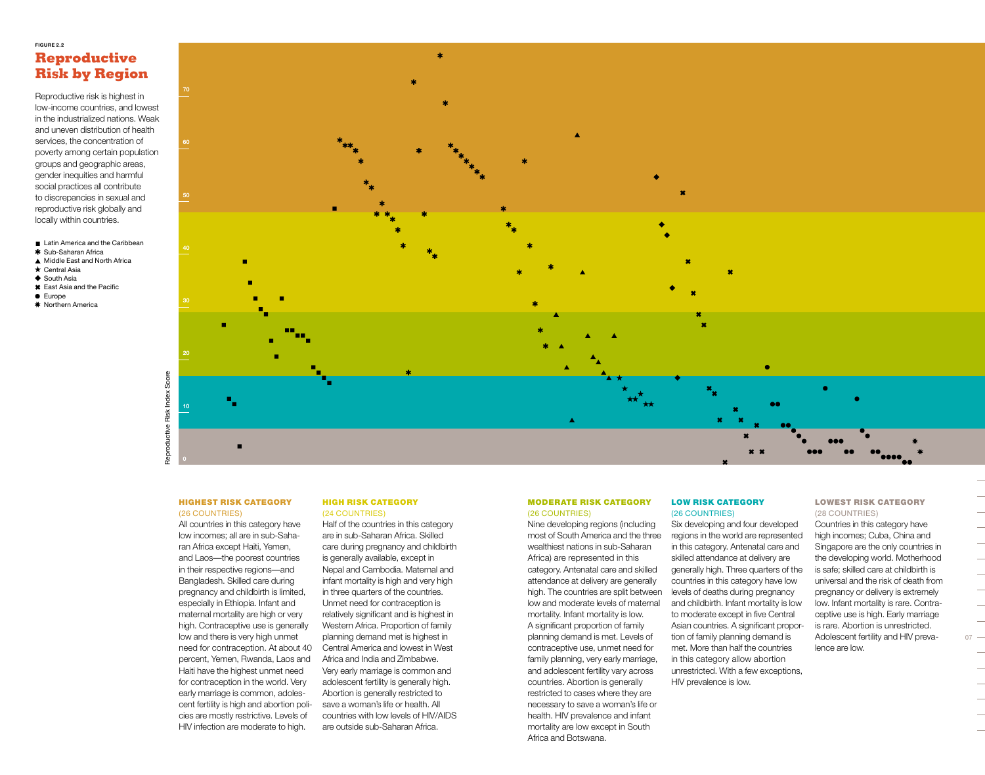# **Figure 2.2 Reproductive Risk by Region**

Reproductive risk is highest in low-income countries, and lowest in the industrialized nations. Weak and uneven distribution of health services, the concentration of poverty among certain population groups and geographic areas, gender inequities and harmful social practices all contribute to discrepancies in sexual and reproductive risk globally and locally within countries.

■ Latin America and the Caribbean

- \* Sub-Saharan Africa ▲ Middle East and North Africa
- $\star$  Central Asia
- ◆ South Asia
- \* East Asia and the Pacific
- **C** Europe
- \* Northern America



#### Highest risk category (26 countries)

All countries in this category have low incomes; all are in sub-Saharan Africa except Haiti, Yemen, and Laos—the poorest countries in their respective regions—and Bangladesh. Skilled care during pregnancy and childbirth is limited, especially in Ethiopia. Infant and maternal mortality are high or very high. Contraceptive use is generally low and there is very high unmet need for contraception. At about 40 percent, Yemen, Rwanda, Laos and Haiti have the highest unmet need for contraception in the world. Very early marriage is common, adolescent fertility is high and abortion policies are mostly restrictive. Levels of HIV infection are moderate to high.

# High risk category

(24 countries) Half of the countries in this category are in sub-Saharan Africa. Skilled care during pregnancy and childbirth is generally available, except in Nepal and Cambodia. Maternal and infant mortality is high and very high in three quarters of the countries. Unmet need for contraception is relatively significant and is highest in Western Africa. Proportion of family planning demand met is highest in Central America and lowest in West Africa and India and Zimbabwe. Very early marriage is common and adolescent fertility is generally high. Abortion is generally restricted to save a woman's life or health. All countries with low levels of HIV/AIDS are outside sub-Saharan Africa.

### Moderate risk category (26 countries)

Nine developing regions (including most of South America and the three wealthiest nations in sub-Saharan Africa) are represented in this category. Antenatal care and skilled attendance at delivery are generally high. The countries are split between low and moderate levels of maternal mortality. Infant mortality is low. A significant proportion of family planning demand is met. Levels of contraceptive use, unmet need for family planning, very early marriage, and adolescent fertility vary across countries. Abortion is generally restricted to cases where they are necessary to save a woman's life or health. HIV prevalence and infant mortality are low except in South Africa and Botswana.

### LOW RISK CATEGORY (26 countries)

Six developing and four developed regions in the world are represented in this category. Antenatal care and skilled attendance at delivery are generally high. Three quarters of the countries in this category have low levels of deaths during pregnancy and childbirth. Infant mortality is low to moderate except in five Central Asian countries. A significant proportion of family planning demand is met. More than half the countries in this category allow abortion unrestricted. With a few exceptions, HIV prevalence is low.

# Lowest risk category (28 countries)

Countries in this category have high incomes; Cuba, China and Singapore are the only countries in the developing world. Motherhood is safe; skilled care at childbirth is universal and the risk of death from pregnancy or delivery is extremely low. Infant mortality is rare. Contraceptive use is high. Early marriage is rare. Abortion is unrestricted. Adolescent fertility and HIV prevalence are low.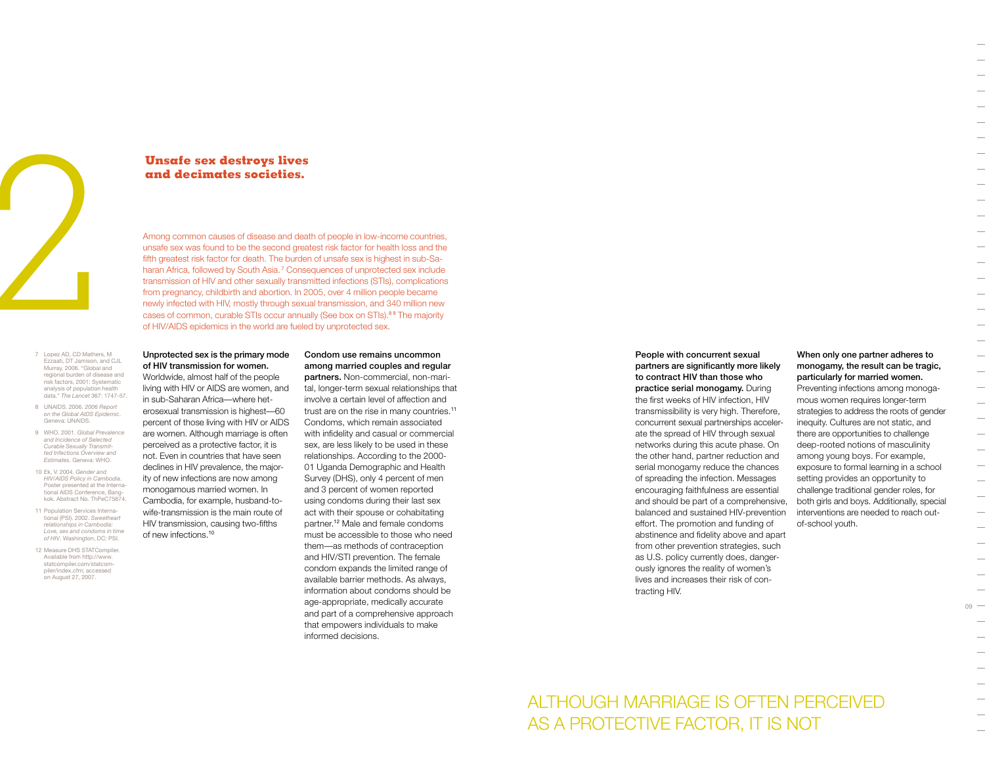

# **Unsafe sex destroys lives and decimates societies.**

Among common causes of disease and death of people in low-income countries, unsafe sex was found to be the second greatest risk factor for health loss and the fifth greatest risk factor for death. The burden of unsafe sex is highest in sub-Saharan Africa, followed by South Asia.<sup>7</sup> Consequences of unprotected sex include transmission of HIV and other sexually transmitted infections (STIs), complications from pregnancy, childbirth and abortion. In 2005, over 4 million people became newly infected with HIV, mostly through sexual transmission, and 340 million new cases of common, curable STIs occur annually (See box on STIs).<sup>89</sup> The majority of HIV/AIDS epidemics in the world are fueled by unprotected sex.

- 7 Lopez AD, CD Mathers, M Ezzaati, DT Jamison, and CJL Murray. 2006. "Global and regional burden of disease and risk factors, 2001: Systematic analysis of population health data." *The Lancet* 367: 1747-57.
- 8 UNAIDS. 2006. *2006 Report on the Global AIDS Epidemic*. Geneva: UNAIDS.
- 9 WHO. 2001. *Global Prevalence and Incidence of Selected Curable Sexually Transmitted Infections Overview and Estimates*. Geneva: WHO.
- 10 Ek, V. 2004. *Gender and HIV/AIDS Policy in Cambodia*. Poster presented at the International AIDS Conference, Bangkok. Abstract No. ThPeC75674.
- 11 Population Services International (PSI). 2002. *Sweetheart relationships in Cambodia: Love, sex and condoms in time of HIV*. Washington, DC: PSI.
- 12 Measure DHS STATCompiler. Available from http://www. statcompiler.com/statcompiler/index.cfm; accessed on August 27, 2007.

# Unprotected sex is the primary mode of HIV transmission for women.

Worldwide, almost half of the people living with HIV or AIDS are women, and in sub-Saharan Africa—where heterosexual transmission is highest—60 percent of those living with HIV or AIDS are women. Although marriage is often perceived as a protective factor, it is not. Even in countries that have seen declines in HIV prevalence, the majority of new infections are now among monogamous married women. In Cambodia, for example, husband-towife-transmission is the main route of HIV transmission, causing two-fifths of new infections.<sup>10</sup>

Condom use remains uncommon among married couples and regular partners. Non-commercial, non-marital, longer-term sexual relationships that involve a certain level of affection and trust are on the rise in many countries.<sup>11</sup> Condoms, which remain associated with infidelity and casual or commercial sex, are less likely to be used in these relationships. According to the 2000- 01 Uganda Demographic and Health Survey (DHS), only 4 percent of men and 3 percent of women reported using condoms during their last sex act with their spouse or cohabitating partner.12 Male and female condoms must be accessible to those who need them—as methods of contraception and HIV/STI prevention. The female condom expands the limited range of available barrier methods. As always, information about condoms should be

age-appropriate, medically accurate and part of a comprehensive approach that empowers individuals to make

informed decisions.

People with concurrent sexual partners are significantly more likely to contract HIV than those who practice serial monogamy. During the first weeks of HIV infection, HIV transmissibility is very high. Therefore, concurrent sexual partnerships accelerate the spread of HIV through sexual networks during this acute phase. On the other hand, partner reduction and serial monogamy reduce the chances of spreading the infection. Messages encouraging faithfulness are essential and should be part of a comprehensive, balanced and sustained HIV-prevention effort. The promotion and funding of abstinence and fidelity above and apart from other prevention strategies, such as U.S. policy currently does, dangerously ignores the reality of women's lives and increases their risk of contracting HIV.

# When only one partner adheres to monogamy, the result can be tragic, particularly for married women.

Preventing infections among monogamous women requires longer-term strategies to address the roots of gender inequity. Cultures are not static, and there are opportunities to challenge deep-rooted notions of masculinity among young boys. For example, exposure to formal learning in a school setting provides an opportunity to challenge traditional gender roles, for both girls and boys. Additionally, special interventions are needed to reach outof-school youth.

 $09 -$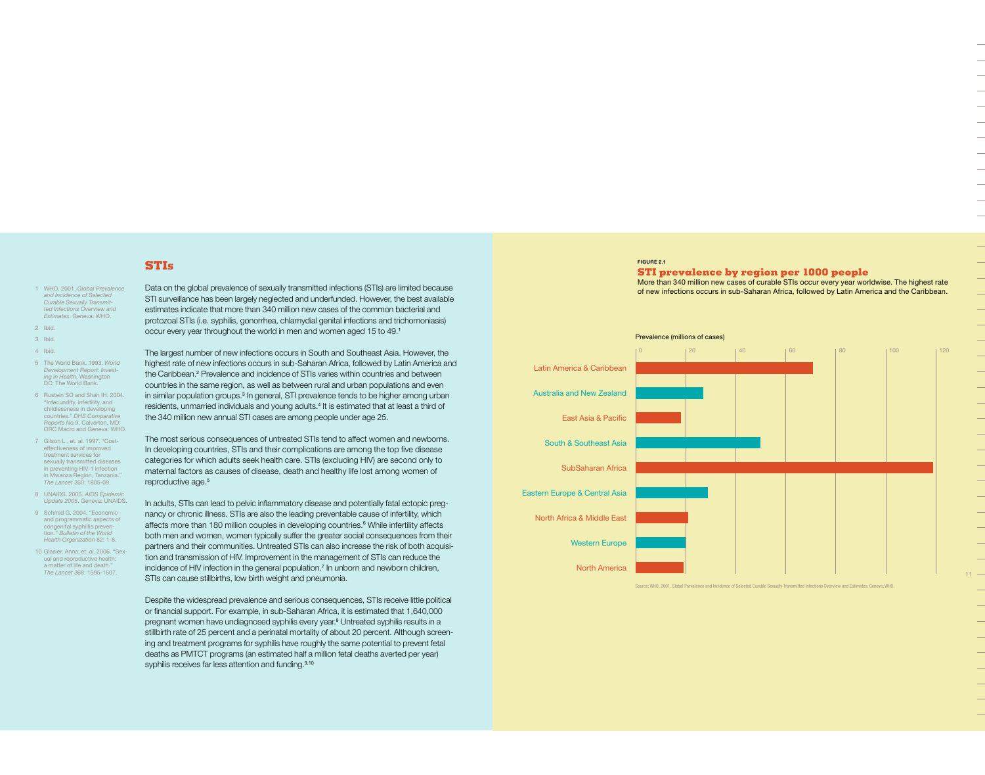- 1 WHO. 2001. *Global Prevalence and Incidence of Selected Curable Sexually Transmitted Infections Overview and Estimates*. Geneva: WHO.
- 2 Ibid. 3 Ibid.
- 4 Ibid.
- 5 The World Bank. 1993. *World Development Report: Investing in Health*. Washington DC: The World Bank.
- 6 Rustein SO and Shah IH. 2004. Infecundity, infertility, and childlessness in developing countries." *DHS Comparative Reports No.9*. Calverton, MD: ORC Macro and Geneva: WHO.
- 7 Gilson L., et. al. 1997. "Costeffectiveness of improved treatment services for sexually transmitted diseases in preventing HIV-1 infection in Mwanza Region, Tanzania." *The Lancet* 350: 1805-09.
- 8 UNAIDS, 2005. AIDS Epidemi *Update 2005*. Geneva: UNAIDS.
- 9 Schmid G. 2004. "Economic and programmatic aspects of congenital syphillis prevention." *Bulletin of the World Health Organization* 82: 1-8.
- 10 Glasier, Anna, et. al. 2006. "Sexual and reproductive health: a matter of life and death." *The Lancet* 368: 1595-1607.

Data on the global prevalence of sexually transmitted infections (STIs) are limited because STI surveillance has been largely neglected and underfunded. However, the best available estimates indicate that more than 340 million new cases of the common bacterial and protozoal STIs (i.e. syphilis, gonorrhea, chlamydial genital infections and trichomoniasis) occur every year throughout the world in men and women aged 15 to 49.<sup>1</sup>

The largest number of new infections occurs in South and Southeast Asia. However, the highest rate of new infections occurs in sub-Saharan Africa, followed by Latin America and the Caribbean.<sup>2</sup> Prevalence and incidence of STIs varies within countries and between countries in the same region, as well as between rural and urban populations and even in similar population groups.<sup>3</sup> In general, STI prevalence tends to be higher among urban residents, unmarried individuals and young adults.<sup>4</sup> It is estimated that at least a third of the 340 million new annual STI cases are among people under age 25.

The most serious consequences of untreated STIs tend to affect women and newborns. In developing countries, STIs and their complications are among the top five disease categories for which adults seek health care. STIs (excluding HIV) are second only to maternal factors as causes of disease, death and healthy life lost among women of reproductive age.<sup>5</sup>

In adults, STIs can lead to pelvic inflammatory disease and potentially fatal ectopic pregnancy or chronic illness. STIs are also the leading preventable cause of infertility, which affects more than 180 million couples in developing countries.<sup>6</sup> While infertility affects both men and women, women typically suffer the greater social consequences from their partners and their communities. Untreated STIs can also increase the risk of both acquisition and transmission of HIV. Improvement in the management of STIs can reduce the incidence of HIV infection in the general population.<sup>7</sup> In unborn and newborn children, STIs can cause stillbirths, low birth weight and pneumonia.

Despite the widespread prevalence and serious consequences, STIs receive little political or financial support. For example, in sub-Saharan Africa, it is estimated that 1,640,000 pregnant women have undiagnosed syphilis every year.<sup>8</sup> Untreated syphilis results in a stillbirth rate of 25 percent and a perinatal mortality of about 20 percent. Although screening and treatment programs for syphilis have roughly the same potential to prevent fetal deaths as PMTCT programs (an estimated half a million fetal deaths averted per year) syphilis receives far less attention and funding.<sup>9,10</sup>

### **Figure 2.1**

# **STI prevalence by region per 1000 people** More than 340 million new cases of curable STIs occur every year worldwise. The highest rate

of new infections occurs in sub-Saharan Africa, followed by Latin America and the Caribbean.



.<br>Source: WHO. 2001. Global Prevalence and Incidence of Selected Curable Sexually Transmitted Infections Overview and Estimates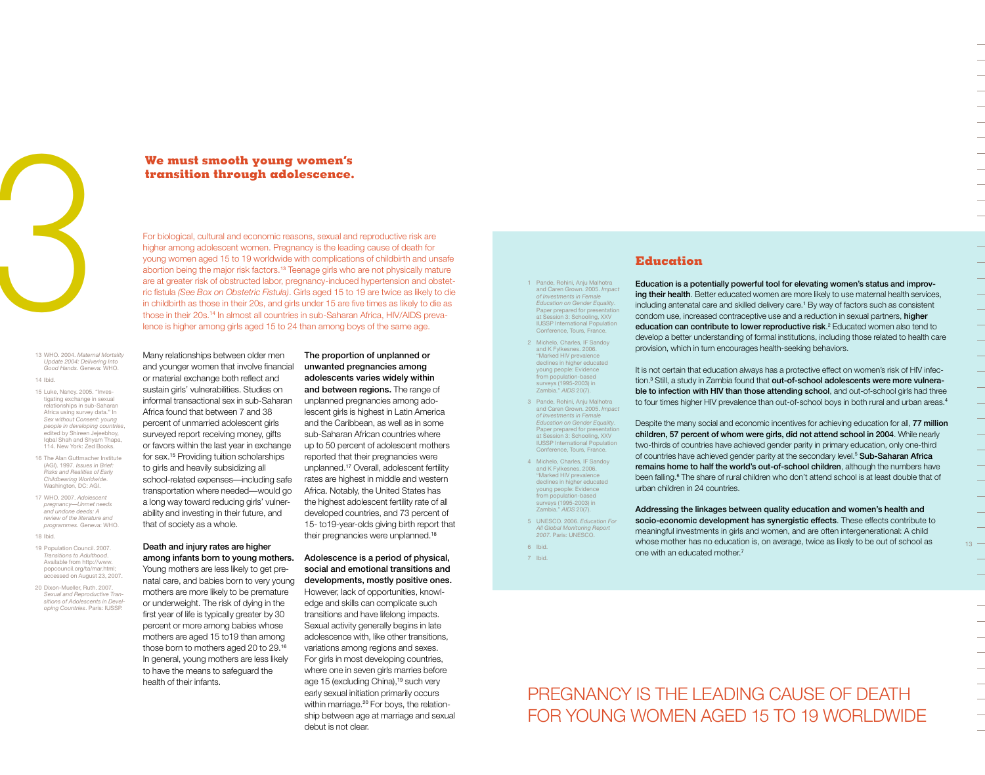

13 WHO. 2004. *Maternal Mortality Update 2004: Delivering Into Good Hands*. Geneva: WHO. 14 Ibid.

- 15 Luke, Nancy. 2005. "Investigating exchange in sexual relationships in sub-Saharan Africa using survey data." In *Sex without Consent: young people in developing countries*, edited by Shireen Jejeebhoy, Iqbal Shah and Shyam Thapa, 114. New York: Zed Books.
- 16 The Alan Guttmacher Institute (AGI). 1997. *Issues in Brief: Risks and Realities of Early Childbearing Worldwide*. Washington, DC: AGI.
- 17 WHO. 2007. *Adolescent pregnancy—Unmet needs and undone deeds: A review of the literature and programmes*. Geneva: WHO.
- 18 Ibid.
- 19 Population Council, 2007. *Transitions to Adulthood*. Available from http://www. popcouncil.org/ta/mar.html; accessed on August 23, 2007.
- 20 Dixon-Mueller, Ruth. 2007. *Sexual and Reproductive Transitions of Adolescents in Developing Countries*. Paris: IUSSP.

# **transition through adolescence.**

**Example 18 Second Weight School School School School School School School School School School School School School School School School School School School School School School School School School School School School** For biological, cultural and economic reasons, sexual and reproductive risk are higher among adolescent women. Pregnancy is the leading cause of death for young women aged 15 to 19 worldwide with complications of childbirth and unsafe abortion being the major risk factors.13 Teenage girls who are not physically mature are at greater risk of obstructed labor, pregnancy-induced hypertension and obstetric fistula *(See Box on Obstetric Fistula)*. Girls aged 15 to 19 are twice as likely to die in childbirth as those in their 20s, and girls under 15 are five times as likely to die as those in their 20s.14 In almost all countries in sub-Saharan Africa, HIV/AIDS prevalence is higher among girls aged 15 to 24 than among boys of the same age.

Many relationships between older men and younger women that involve financial or material exchange both reflect and sustain girls' vulnerabilities. Studies on informal transactional sex in sub-Saharan Africa found that between 7 and 38 percent of unmarried adolescent girls surveyed report receiving money, gifts or favors within the last year in exchange for sex.15 Providing tuition scholarships to girls and heavily subsidizing all school-related expenses—including safe transportation where needed—would go a long way toward reducing girls' vulnerability and investing in their future, and that of society as a whole.

### Death and injury rates are higher among infants born to young mothers.

Young mothers are less likely to get prenatal care, and babies born to very young mothers are more likely to be premature or underweight. The risk of dying in the first year of life is typically greater by 30 percent or more among babies whose mothers are aged 15 to19 than among those born to mothers aged 20 to 29.<sup>16</sup> In general, young mothers are less likely to have the means to safeguard the health of their infants.

The proportion of unplanned or unwanted pregnancies among adolescents varies widely within and between regions. The range of unplanned pregnancies among adolescent girls is highest in Latin America and the Caribbean, as well as in some sub-Saharan African countries where up to 50 percent of adolescent mothers reported that their pregnancies were unplanned.17 Overall, adolescent fertility rates are highest in middle and western Africa. Notably, the United States has the highest adolescent fertility rate of all developed countries, and 73 percent of 15- to19-year-olds giving birth report that their pregnancies were unplanned.<sup>18</sup>

Adolescence is a period of physical, social and emotional transitions and developments, mostly positive ones. However, lack of opportunities, knowledge and skills can complicate such transitions and have lifelong impacts. Sexual activity generally begins in late adolescence with, like other transitions, variations among regions and sexes. For girls in most developing countries, where one in seven girls marries before age 15 (excluding China),<sup>19</sup> such very early sexual initiation primarily occurs within marriage.<sup>20</sup> For boys, the relationship between age at marriage and sexual debut is not clear.

#### 1 Pande, Rohini, Anju Malhotra and Caren Grown. 2005. *Impac of Investments in Female Education on Gender Equality*. Paper prepared for presentation sion 3: Schooling, XXV IUSSP International Population Conference, Tours, France.

2 Michelo, Charles, IF Sandoy and K Fylkesnes. 2006. "Marked HIV prevalence declines in higher educated young people: Evidence from population-based surveys (1995-2003) in Zambia." *AIDS* 20(7).

3 Pande, Rohini, Anju Malhotra and Caren Grown. 2005. *Impac of Investments in Female Education on Gender Equality*. Paper prepared for presentation at Session 3: Schooling, XXV **IUSSP International Population** Conference, Tours, France.

- 4 Michelo, Charles, IF Sandoy and K Fylkesnes. 2006. "Marked HIV prevalence declines in higher educated young people: Evidence from population-based surveys (1995-2003) in Zambia." *AIDS* 20(7).
- 5 UNESCO. 2006. *Education For All Global Monitoring Report 2007*. Paris: UNESCO. 6 Ibid.

7 Ibid.

# **Education**

Education is a potentially powerful tool for elevating women's status and improving their health. Better educated women are more likely to use maternal health services, including antenatal care and skilled delivery care.<sup>1</sup> By way of factors such as consistent condom use, increased contraceptive use and a reduction in sexual partners, higher education can contribute to lower reproductive risk.<sup>2</sup> Educated women also tend to develop a better understanding of formal institutions, including those related to health care provision, which in turn encourages health-seeking behaviors.

It is not certain that education always has a protective effect on women's risk of HIV infection.<sup>3</sup> Still, a study in Zambia found that **out-of-school adolescents were more vulnera**ble to infection with HIV than those attending school, and out-of-school girls had three to four times higher HIV prevalence than out-of-school boys in both rural and urban areas.<sup>4</sup>

Despite the many social and economic incentives for achieving education for all, 77 million children, 57 percent of whom were girls, did not attend school in 2004. While nearly two-thirds of countries have achieved gender parity in primary education, only one-third of countries have achieved gender parity at the secondary level.<sup>5</sup> Sub-Saharan Africa remains home to half the world's out-of-school children, although the numbers have been falling.<sup>6</sup> The share of rural children who don't attend school is at least double that of urban children in 24 countries.

Addressing the linkages between quality education and women's health and socio-economic development has synergistic effects. These effects contribute to meaningful investments in girls and women, and are often intergenerational: A child whose mother has no education is, on average, twice as likely to be out of school as one with an educated mother.<sup>7</sup>

# Pregnancy is the leading cause of death FOR YOUNG WOMEN AGED 15 TO 19 WORLDWIDE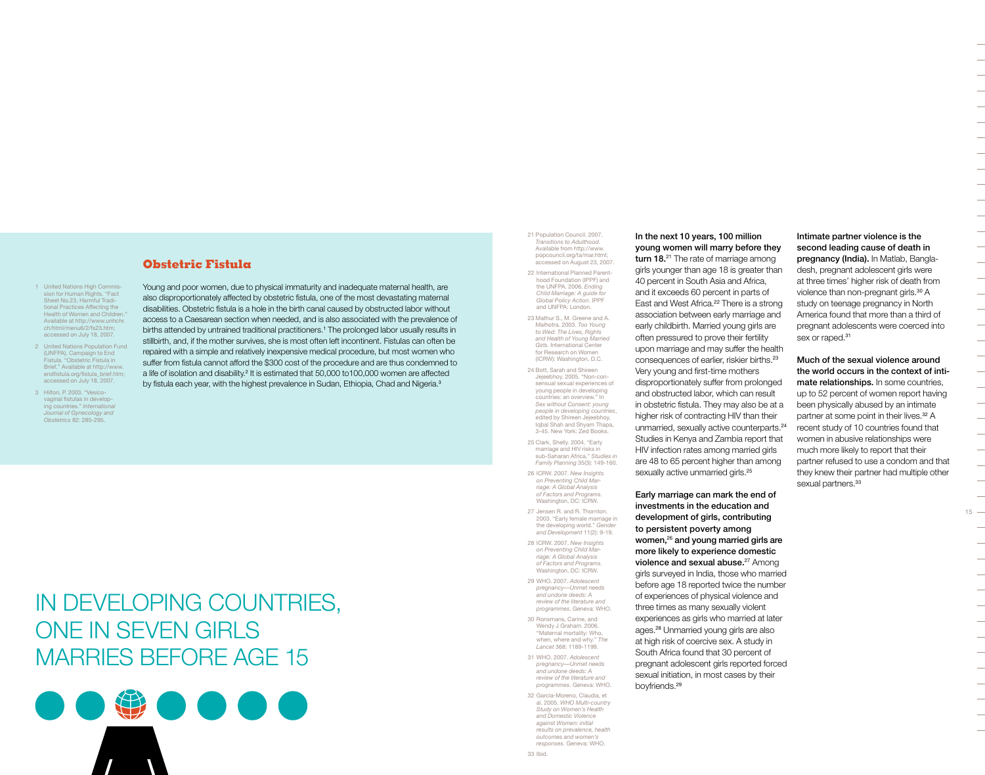# **Obstetric Fistula**

1 United Nations High Commis sion for Human Rights. "Fact Sheet No.23, Harmful Traditional Practices Affecting the Health of Women and Children. Available at http://www.unhchr. ch/html/menu6/2/fs23.htm; accessed on July 18, 2007.

- 2 United Nations Population Fund (UNFPA), Campaign to End Fistula. "Obstetric Fistula in Brief." Available at http://www. endfistula.org/fistula\_brief.htm; accessed on July 18, 2007.
- 3 Hilton, P. 2003. "Vesicovaginal fistulas in developing countries." *International Journal of Gynecology and Obstetrics* 82: 285-295.

Young and poor women, due to physical immaturity and inadequate maternal health, are also disproportionately affected by obstetric fistula, one of the most devastating maternal disabilities. Obstetric fistula is a hole in the birth canal caused by obstructed labor without access to a Caesarean section when needed, and is also associated with the prevalence of births attended by untrained traditional practitioners.<sup>1</sup> The prolonged labor usually results in stillbirth, and, if the mother survives, she is most often left incontinent. Fistulas can often be repaired with a simple and relatively inexpensive medical procedure, but most women who suffer from fistula cannot afford the \$300 cost of the procedure and are thus condemned to a life of isolation and disability.<sup>2</sup> It is estimated that 50,000 to100,000 women are affected by fistula each year, with the highest prevalence in Sudan, Ethiopia, Chad and Nigeria.<sup>3</sup>

# In developing Countries, one in seven girls marries before age 15



21 Population Council. 2007. *Transitions to Adulthood*. Available from http://www. popcouncil.org/ta/mar.html; accessed on August 23, 2007. 22 International Planned Parenthood Foundation (IPPF) and the UNFPA. 2006. *Ending Child Marriage: A guide for Global Policy Action*. IPPF and UNFPA: London. 23 Mathur S., M. Greene and A.

Malhotra. 2003. *Too Young to Wed: The Lives, Rights and Health of Young Married Girls*. International Center for Research on Women (ICRW): Washington, D.C.

24 Bott, Sarah and Shireen Jejeebhoy. 2005. "Non-consensual sexual experiences of young people in developing countries: an overview." In *Sex without Consent: young people in developing countries*, edited by Shireen Jejeebhoy, Iqbal Shah and Shyam Thapa, 3-45. New York: Zed Books.

25 Clark, Shelly. 2004. "Early marriage and HIV risks in sub-Saharan Africa." *Studies in Family Planning* 35(3): 149-160.

26 ICRW. 2007. *New Insights on Preventing Child Marriage: A Global Analysis of Factors and Programs*. Washington, DC: ICRW.

27 Jensen R. and R. Thornton. 2003. "Early female marriage in the developing world." *Gender and Development* 11(2): 9-19.

28 ICRW. 2007. *New Insights on Preventing Child Marriage: A Global Analysis of Factors and Programs*. Washington, DC: ICRW.

29 WHO. 2007. *Adolescent pregnancy—Unmet needs and undone deeds: A review of the literature and programmes*. Geneva: WHO.

30 Ronsmans, Carine, and Wendy J Graham. 2006. "Maternal mortality: Who, when, where and why." *The Lancet* 368: 1189-1199. 31 WHO. 2007. *Adolescent pregnancy—Unmet needs and undone deeds: A review of the literature and programmes*. Geneva: WHO. 32 Garcia-Moreno, Claudia, et

al. 2005. *WHO Multi-country Study on Women's Health and Domestic Violence against Women: initial results on prevalence, health outcomes and women's responses*. Geneva: WHO.

In the next 10 years, 100 million young women will marry before they turn 18.<sup>21</sup> The rate of marriage among

girls younger than age 18 is greater than 40 percent in South Asia and Africa, and it exceeds 60 percent in parts of East and West Africa.<sup>22</sup> There is a strong association between early marriage and early childbirth. Married young girls are often pressured to prove their fertility upon marriage and may suffer the health consequences of earlier, riskier births.<sup>23</sup> Very young and first-time mothers disproportionately suffer from prolonged and obstructed labor, which can result in obstetric fistula. They may also be at a higher risk of contracting HIV than their unmarried, sexually active counterparts.<sup>24</sup> Studies in Kenya and Zambia report that HIV infection rates among married girls are 48 to 65 percent higher than among sexually active unmarried girls.<sup>25</sup>

Early marriage can mark the end of investments in the education and development of girls, contributing to persistent poverty among women,26 and young married girls are more likely to experience domestic violence and sexual abuse.<sup>27</sup> Among girls surveyed in India, those who married before age 18 reported twice the number of experiences of physical violence and three times as many sexually violent experiences as girls who married at later ages.28 Unmarried young girls are also at high risk of coercive sex. A study in South Africa found that 30 percent of pregnant adolescent girls reported forced sexual initiation, in most cases by their boyfriends.<sup>29</sup>

Intimate partner violence is the second leading cause of death in pregnancy (India). In Matlab, Bangladesh, pregnant adolescent girls were at three times' higher risk of death from violence than non-pregnant girls.<sup>30</sup> A study on teenage pregnancy in North America found that more than a third of pregnant adolescents were coerced into sex or raped.<sup>31</sup>

Much of the sexual violence around the world occurs in the context of intimate relationships. In some countries, up to 52 percent of women report having been physically abused by an intimate partner at some point in their lives.<sup>32</sup> A recent study of 10 countries found that women in abusive relationships were much more likely to report that their partner refused to use a condom and that they knew their partner had multiple other sexual partners.<sup>33</sup>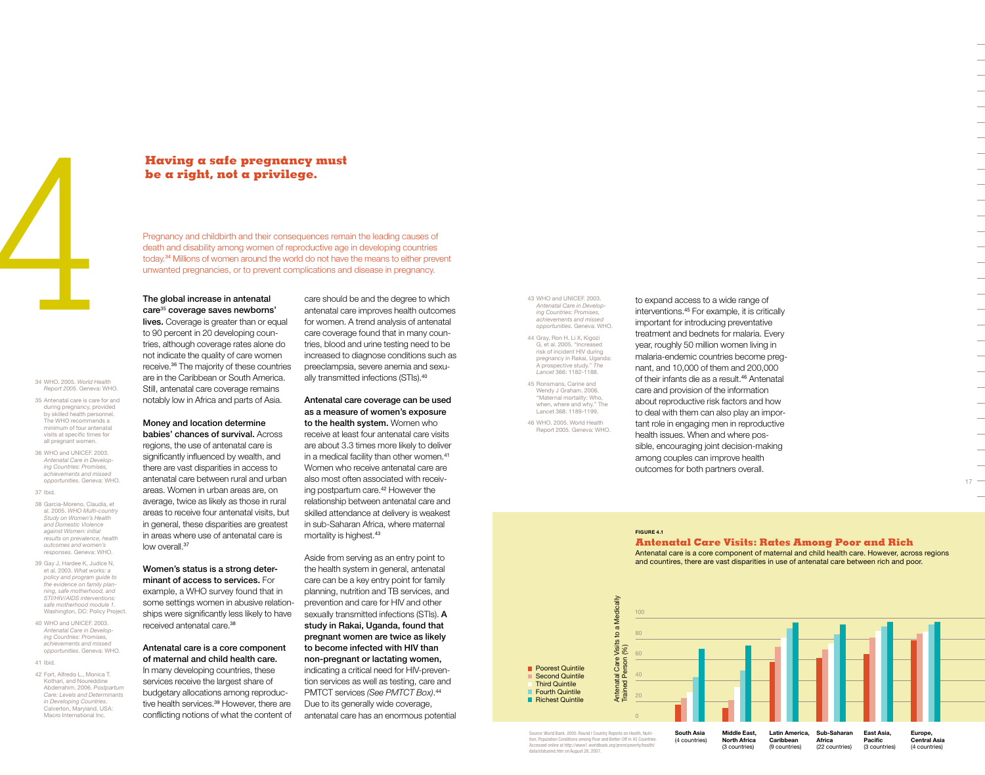

# 34 WHO. 2005. *World Health*

*Report 2005*. Geneva: WHO. 35 Antenatal care is care for and

- during pregnancy, provided by skilled health personnel. The WHO recommends a minimum of four antenatal visits at specific times for all pregnant women.
- 36 WHO and UNICEF. 2003. *Antenatal Care in Developing Countries: Promises, achievements and missed opportunities*. Geneva: WHO.

37 Ibid.

- 38 Garcia-Moreno, Claudia, et al. 2005. *WHO Multi-country Study on Women's Health and Domestic Violence against Women: initial results on prevalence, health outcomes and women's responses*. Geneva: WHO.
- 39 Gay J, Hardee K, Judice N, et al. 2003. *What works: a policy and program guide to the evidence on family planning, safe motherhood, and STI/HIV/AIDS interventions: safe motherhood module 1*. Washington, DC: Policy Project.

40 WHO and UNICEF. 2003. *Antenatal Care in Developing Countries: Promises, achievements and missed opportunities*. Geneva: WHO.

41 Ibid.

42 Fort, Alfredo L., Monica T. Kothari, and Noureddine Abderrahim. 2006. *Postpartum Care: Levels and Determinants in Developing Countries*. Calverton, Maryland, USA: Macro International Inc.

# **Having a safe pregnancy must be a right, not a privilege.**

Pregnancy and childbirth and their consequences remain the leading causes of death and disability among women of reproductive age in developing countries today.34 Millions of women around the world do not have the means to either prevent unwanted pregnancies, or to prevent complications and disease in pregnancy.

### The global increase in antenatal care<sup>35</sup> coverage saves newborns'

**lives.** Coverage is greater than or equal to 90 percent in 20 developing countries, although coverage rates alone do not indicate the quality of care women receive.36 The majority of these countries are in the Caribbean or South America. Still, antenatal care coverage remains notably low in Africa and parts of Asia.

# Money and location determine

babies' chances of survival. Across regions, the use of antenatal care is significantly influenced by wealth, and there are vast disparities in access to antenatal care between rural and urban areas. Women in urban areas are, on average, twice as likely as those in rural areas to receive four antenatal visits, but in general, these disparities are greatest in areas where use of antenatal care is low overall 37

### Women's status is a strong determinant of access to services. For example, a WHO survey found that in some settings women in abusive relationships were significantly less likely to have received antenatal care.<sup>38</sup>

# Antenatal care is a core component of maternal and child health care. In many developing countries, these services receive the largest share of

budgetary allocations among reproductive health services.<sup>39</sup> However, there are conflicting notions of what the content of

care should be and the degree to which antenatal care improves health outcomes for women. A trend analysis of antenatal care coverage found that in many countries, blood and urine testing need to be increased to diagnose conditions such as preeclampsia, severe anemia and sexually transmitted infections (STIs).<sup>40</sup>

### Antenatal care coverage can be used as a measure of women's exposure

to the health system. Women who receive at least four antenatal care visits are about 3.3 times more likely to deliver in a medical facility than other women.<sup>41</sup> Women who receive antenatal care are also most often associated with receiving postpartum care.<sup>42</sup> However the relationship between antenatal care and skilled attendance at delivery is weakest in sub-Saharan Africa, where maternal mortality is highest.<sup>43</sup>

Aside from serving as an entry point to the health system in general, antenatal care can be a key entry point for family planning, nutrition and TB services, and prevention and care for HIV and other sexually transmitted infections (STIs). A study in Rakai, Uganda, found that pregnant women are twice as likely to become infected with HIV than non-pregnant or lactating women, indicating a critical need for HIV-prevention services as well as testing, care and PMTCT services *(See PMTCT Box)*. 44 Due to its generally wide coverage, antenatal care has an enormous potential 43 WHO and UNICEF. 2003. *Antenatal Care in Developing Countries: Promises, achievements and missed opportunities*. Geneva: WHO. 44 Gray, Ron H, Li X, Kigozi G, et al. 2005. "Increased risk of incident HIV during pregnancy in Rakai, Uganda: A prospective study." *The Lancet* 366: 1182-1188.

45 Ronsmans, Carine and Wendy J Graham. 2006. "Maternal mortality: Who, when, where and why." The Lancet 368: 1189-1199.

46 WHO. 2005. World Health Report 2005. Geneva: WHO. to expand access to a wide range of interventions.45 For example, it is critically important for introducing preventative treatment and bednets for malaria. Every year, roughly 50 million women living in malaria-endemic countries become pregnant, and 10,000 of them and 200,000 of their infants die as a result.<sup>46</sup> Antenatal care and provision of the information about reproductive risk factors and how to deal with them can also play an important role in engaging men in reproductive health issues. When and where possible, encouraging joint decision-making among couples can improve health outcomes for both partners overall.

### **Figure 4.1**

**Antenatal Care Visits: Rates Among Poor and Rich** 

Antenatal care is a core component of maternal and child health care. However, across regions and countires, there are vast disparities in use of antenatal care between rich and poor.



tion, Population Conditions among Poor and Better-Off in 45 Countries. Accessed online at http://www1.worldbank.org/prem/poverty/health/ data/statusind.htm on August 28, 2007.

(4 countries)

**North Africa**  (3 countries) **Caribbean**  (9 countries)

(22 countries)

(3 countries) **Central Asia**  (4 countries)

 $17 -$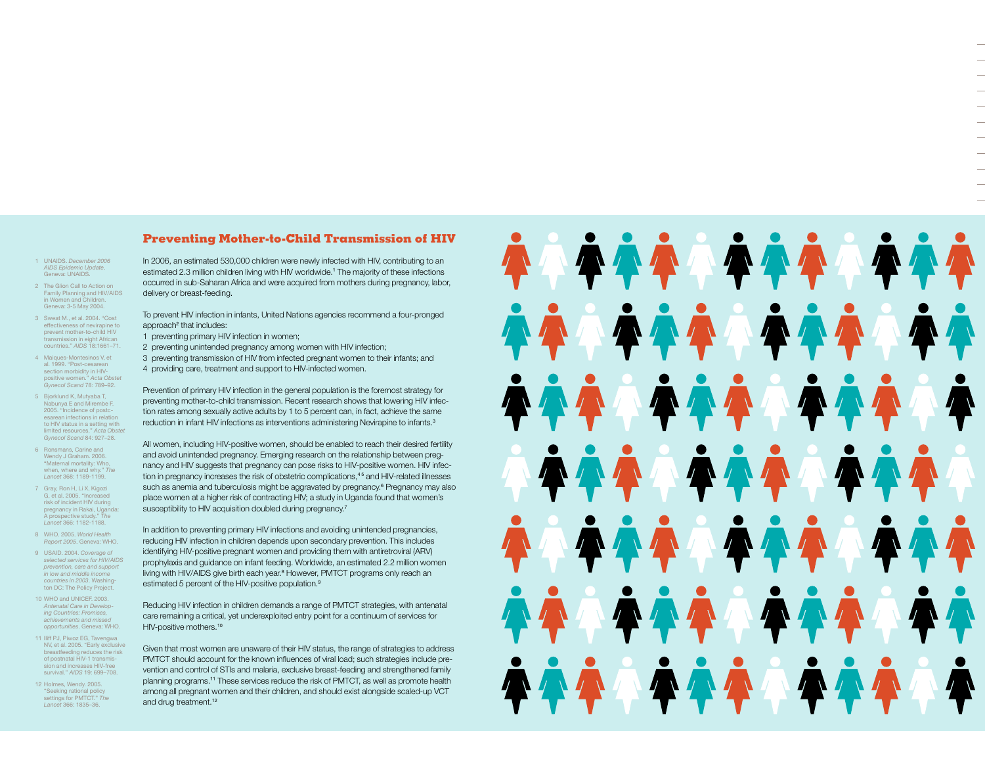# **Preventing Mother-to-Child Transmission of HIV**

- 1 UNAIDS. *December 2006 AIDS Epidemic Update*. Geneva: UNAIDS.
- 2 The Glion Call to Action on Family Planning and HIV/AIDS in Women and Children. Geneva: 3-5 May 2004.
- 3 Sweat M., et al. 2004. "Cost effectiveness of nevirapine to prevent mother-to-child HIV transmission in eight African countries." *AIDS* 18:1661–71.
- 4 Maiques-Montesinos V, et al. 1999. "Post-cesarean section morbidity in HIVpositive women." *Acta Obstet Gynecol Scand* 78: 789–92.
- 5 Bjorklund K, Mutyaba T, Nabunya E and Mirembe F. 2005. "Incidence of postcesarean infections in relation to HIV status in a setting with limited resources." *Acta Obstet Gynecol Scand* 84: 927–28.
- 6 Ronsmans, Carine and Wendy J Graham. 2006. "Maternal mortality: Who, when, where and why." *The Lancet* 368: 1189-1199.
- 7 Gray, Ron H, Li X, Kigozi G, et al. 2005. "Increased risk of incident HIV during pregnancy in Rakai, Uganda: A prospective study." *The Lancet* 366: 1182-1188.
- 8 WHO. 2005. *World Health Report 2005*. Geneva: WHO.
- 9 USAID. 2004. *Coverage of selected services for HIV/AIDS prevention, care and support in low and middle income countries in 2003*. Washington DC: The Policy Project.
- 10 WHO and UNICEF. 2003. *Antenatal Care in Developing Countries: Promises, achievements and missed opportunities*. Geneva: WHO.
- 11 Iliff PJ, Piwoz EG, Tavengwa NV, et al. 2005. "Early exclusive breastfeeding reduces the risk of postnatal HIV-1 transmission and increases HIV-free survival." *AIDS* 19: 699–708.
- 12 Holmes, Wendy. 2005. "Seeking rational policy settings for PMTCT." *The Lancet* 366: 1835–36.

In 2006, an estimated 530,000 children were newly infected with HIV, contributing to an estimated 2.3 million children living with HIV worldwide.<sup>1</sup> The majority of these infections occurred in sub-Saharan Africa and were acquired from mothers during pregnancy, labor, delivery or breast-feeding.

To prevent HIV infection in infants, United Nations agencies recommend a four-pronged approach<sup>2</sup> that includes:

- 1 preventing primary HIV infection in women;
- 2 preventing unintended pregnancy among women with HIV infection;
- 3 preventing transmission of HIV from infected pregnant women to their infants; and 4 providing care, treatment and support to HIV-infected women.

Prevention of primary HIV infection in the general population is the foremost strategy for preventing mother-to-child transmission. Recent research shows that lowering HIV infection rates among sexually active adults by 1 to 5 percent can, in fact, achieve the same reduction in infant HIV infections as interventions administering Nevirapine to infants.<sup>3</sup>

All women, including HIV-positive women, should be enabled to reach their desired fertility and avoid unintended pregnancy. Emerging research on the relationship between pregnancy and HIV suggests that pregnancy can pose risks to HIV-positive women. HIV infection in pregnancy increases the risk of obstetric complications,<sup>45</sup> and HIV-related illnesses such as anemia and tuberculosis might be aggravated by pregnancy.<sup>6</sup> Pregnancy may also place women at a higher risk of contracting HIV; a study in Uganda found that women's susceptibility to HIV acquisition doubled during pregnancy.<sup>7</sup>

In addition to preventing primary HIV infections and avoiding unintended pregnancies, reducing HIV infection in children depends upon secondary prevention. This includes identifying HIV-positive pregnant women and providing them with antiretroviral (ARV) prophylaxis and guidance on infant feeding. Worldwide, an estimated 2.2 million women living with HIV/AIDS give birth each year.<sup>8</sup> However, PMTCT programs only reach an estimated 5 percent of the HIV-positive population.<sup>9</sup>

Reducing HIV infection in children demands a range of PMTCT strategies, with antenatal care remaining a critical, yet underexploited entry point for a continuum of services for HIV-positive mothers.<sup>10</sup>

Given that most women are unaware of their HIV status, the range of strategies to address PMTCT should account for the known influences of viral load; such strategies include prevention and control of STIs and malaria, exclusive breast-feeding and strengthened family planning programs.11 These services reduce the risk of PMTCT, as well as promote health among all pregnant women and their children, and should exist alongside scaled-up VCT and drug treatment.<sup>12</sup>

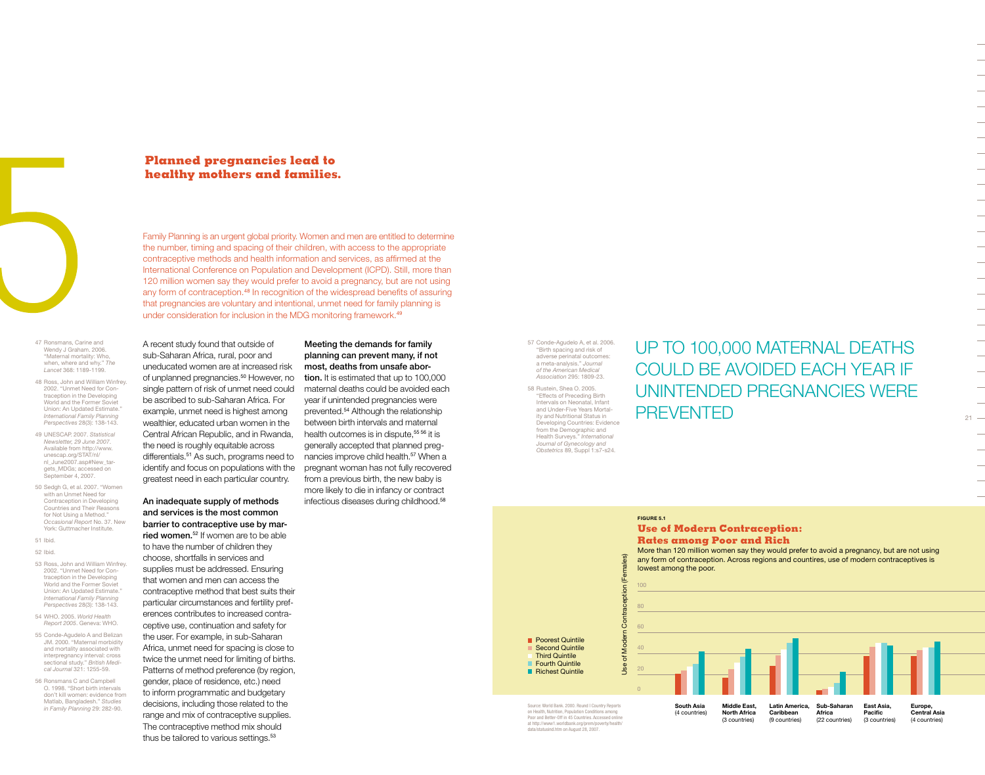

# **Planned pregnancies lead to healthy mothers and families.**

A recent study found that outside of sub-Saharan Africa, rural, poor and uneducated women are at increased risk of unplanned pregnancies.<sup>50</sup> However, no single pattern of risk of unmet need could be ascribed to sub-Saharan Africa. For example, unmet need is highest among wealthier, educated urban women in the Central African Republic, and in Rwanda, the need is roughly equitable across differentials.<sup>51</sup> As such, programs need to identify and focus on populations with the greatest need in each particular country.

An inadequate supply of methods and services is the most common barrier to contraceptive use by mar**ried women.**<sup>52</sup> If women are to be able to have the number of children they choose, shortfalls in services and supplies must be addressed. Ensuring that women and men can access the contraceptive method that best suits their particular circumstances and fertility preferences contributes to increased contraceptive use, continuation and safety for the user. For example, in sub-Saharan Africa, unmet need for spacing is close to twice the unmet need for limiting of births. Patterns of method preference (by region, gender, place of residence, etc.) need to inform programmatic and budgetary decisions, including those related to the range and mix of contraceptive supplies. The contraceptive method mix should thus be tailored to various settings.<sup>53</sup>

Family Planning is an urgent global priority. Women and men are entitled to determine the number, timing and spacing of their children, with access to the appropriate contraceptive methods and health information and services, as affirmed at the International Conference on Population and Development (ICPD). Still, more than 120 million women say they would prefer to avoid a pregnancy, but are not using any form of contraception.<sup>48</sup> In recognition of the widespread benefits of assuring that pregnancies are voluntary and intentional, unmet need for family planning is under consideration for inclusion in the MDG monitoring framework.<sup>49</sup>

47 Ronsmans, Carine and Wendy J Graham. 2006. "Maternal mortality: Who, when, where and why." *The Lancet* 368: 1189-1199.

- 48 Ross, John and William Winfrey. 2002. "Unmet Need for Contraception in the Developing World and the Former Soviet Union: An Updated Estimate." *International Family Planning Perspectives* 28(3): 138-143.
- 49 UNESCAP. 2007. *Statistical Newsletter, 29 June 2007*. Available from http://www. unescap.org/STAT/nl/ nl\_June2007.asp#New\_tar gets\_MDGs; accessed on eptember 4, 2007.
- 50 Sedgh G, et al. 2007. "Women with an Unmet Need for Contraception in Developing Countries and Their Reasons for Not Using a Method." *Occasional Report* No. 37. New York: Guttmacher Institute.
- 51 Ibid. 52 Ibid.
- 53 Ross, John and William Winfrey.
- 2002. "Unmet Need for Contraception in the Developing World and the Former Soviet Union: An Updated Estimate." *International Family Planning Perspectives* 28(3): 138-143.
- 54 WHO. 2005. *World Health Report 2005*. Geneva: WHO.
- 55 Conde-Agudelo A and Belizan JM. 2000. "Maternal morbidity and mortality associated with interpregnancy interval: cross sectional study." *British Medi-cal Journal* 321: 1255-59.
- 56 Ronsmans C and Campbell O. 1998. "Short birth intervals don't kill women: evidence from Matlab, Bangladesh." *Studies in Family Planning* 29: 282-90.

### Meeting the demands for family planning can prevent many, if not most, deaths from unsafe abor-

tion. It is estimated that up to 100,000 maternal deaths could be avoided each year if unintended pregnancies were prevented.<sup>54</sup> Although the relationship between birth intervals and maternal health outcomes is in dispute.<sup>55 56</sup> it is generally accepted that planned pregnancies improve child health.<sup>57</sup> When a pregnant woman has not fully recovered from a previous birth, the new baby is more likely to die in infancy or contract infectious diseases during childhood.<sup>58</sup>

57 Conde-Agudelo A, et al. 2006. "Birth spacing and risk of adverse perinatal outcomes: a meta-analysis." *Journal of the American Medical Association* 295: 1809-23.

58 Rustein, Shea O. 2005. "Effects of Preceding Birth Intervals on Neonatal, Infant and Under-Five Years Mortality and Nutritional Status in Developing Countries: Evidence from the Demographic and Health Surveys." *International Journal of Gynecology and Obstetrics* 89, Suppl 1:s7-s24.

# UP TO 100,000 MATERNAL DEATHS could be avoided each year if unintended pregnancies were **PREVENTED**

 $21 -$ 

**Figure 5.1**

### **Use of Modern Contraception: Rates among Poor and Rich**

More than 120 million women say they would prefer to avoid a pregnancy, but are not using any form of contraception. Across regions and countires, use of modern contraceptives is lowest among the poor.



on Health, Nutrition, Population Conditions among Poor and Better-Off in 45 Countries. Accessed at http://www1.worldbank.org/prem/poverty/health/ data/statusind.htm on August 28, 2007.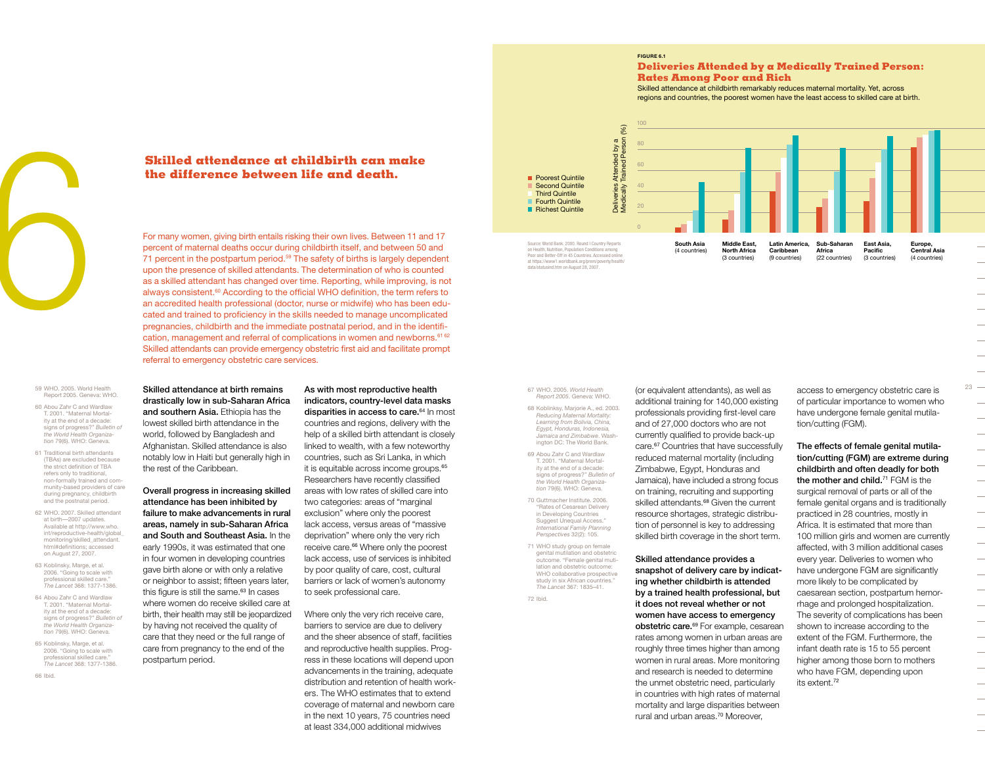#### **Figure 6.1**

100 80

 $(96)$ 

#### **Deliveries Attended by a Medically Trained Person: Rates Among Poor and Rich**

Skilled attendance at childbirth remarkably reduces maternal mortality. Yet, across regions and countries, the poorest women have the least access to skilled care at birth.



**the difference between life and death.**

**Skilled attendance at childbirth can make the difference between life and death.**<br>
For many women, giving birth entails risking their own lives. Between 11 and percent of maternal deaths occur during childbirth itself, an For many women, giving birth entails risking their own lives. Between 11 and 17 percent of maternal deaths occur during childbirth itself, and between 50 and 71 percent in the postpartum period.<sup>59</sup> The safety of births is largely dependent upon the presence of skilled attendants. The determination of who is counted as a skilled attendant has changed over time. Reporting, while improving, is not always consistent.<sup>60</sup> According to the official WHO definition, the term refers to an accredited health professional (doctor, nurse or midwife) who has been educated and trained to proficiency in the skills needed to manage uncomplicated pregnancies, childbirth and the immediate postnatal period, and in the identification, management and referral of complications in women and newborns.<sup>61 62</sup> Skilled attendants can provide emergency obstetric first aid and facilitate prompt referral to emergency obstetric care services.

> As with most reproductive health indicators, country-level data masks disparities in access to care.<sup>64</sup> In most countries and regions, delivery with the help of a skilled birth attendant is closely linked to wealth, with a few noteworthy countries, such as Sri Lanka, in which it is equitable across income groups.<sup>65</sup> Researchers have recently classified areas with low rates of skilled care into two categories: areas of "marginal exclusion" where only the poorest lack access, versus areas of "massive deprivation" where only the very rich receive care.<sup>66</sup> Where only the poorest lack access, use of services is inhibited by poor quality of care, cost, cultural barriers or lack of women's autonomy

to seek professional care.

Where only the very rich receive care, barriers to service are due to delivery and the sheer absence of staff, facilities and reproductive health supplies. Progress in these locations will depend upon advancements in the training, adequate distribution and retention of health workers. The WHO estimates that to extend coverage of maternal and newborn care in the next 10 years, 75 countries need at least 334,000 additional midwives

Skilled attendance at birth remains drastically low in sub-Saharan Africa and southern Asia. Ethiopia has the lowest skilled birth attendance in the world, followed by Bangladesh and Afghanistan. Skilled attendance is also notably low in Haiti but generally high in

Overall progress in increasing skilled attendance has been inhibited by failure to make advancements in rural areas, namely in sub-Saharan Africa and South and Southeast Asia. In the early 1990s, it was estimated that one in four women in developing countries gave birth alone or with only a relative or neighbor to assist; fifteen years later, this figure is still the same.<sup>63</sup> In cases where women do receive skilled care at birth, their health may still be jeopardized by having not received the quality of care that they need or the full range of care from pregnancy to the end of the

the rest of the Caribbean.

postpartum period.

59 WHO. 2005. World Health Report 2005. Geneva: WHO.

- 60 Abou Zahr C and Wardlaw T. 2001. "Maternal Mortality at the end of a decade: signs of progress?" *Bulletin of the World Health Organization* 79(6). WHO: Geneva.
- 61 Traditional birth attendants (TBAs) are excluded because the strict definition of TBA refers only to traditional, non-formally trained and community-based providers of care during pregnancy, childbirth and the postnatal period.
- 62 WHO. 2007. Skilled attendant at birth—2007 updates. Available at http://www.who. int/reproductive-health/global\_ monitoring/skilled\_attendant. html#definitions; accessed on August 27, 2007.
- 63 Koblinsky, Marge, et al. 2006. "Going to scale with professional skilled care. *The Lancet* 368: 1377-1386.
- 64 Abou Zahr C and Wardlaw T. 2001. "Maternal Mortality at the end of a decade: signs of progress?" *Bulletin of the World Health Organization* 79(6). WHO: Geneva.
- 65 Koblinsky, Marge, et al. 2006. "Going to scale with professional skilled care." *The Lancet* 368: 1377-1386.

66 Ibid.

#### Medically Trained Person (%) Attended by a<br>Trained Person ( Deliveries Attended by a  $60$ **Poorest Quintile** Second Quintile 40 Third Quintile Fourth Quintile Deliv<br>Medi 20 Richest Quintile 0 Source: World Bank. 2000. Round I Country Reports **South Asia Middle East, Sub-Saharan Latin America,**  on Health, Nutrition, Population Conditions among (4 countries)

Poor and Better-Off in 45 Countries. Accessed only at httpa://www1.worldbank.org/prem/poverty/health/ data/statusind.htm on August 28, 2007.

**North Africa**  (3 countries)

**Caribbean**  (9 countries) **Africa**  (22 countries) **Europe, Central Asia**  (4 countries)

 $23 -$ 

 $\overline{\phantom{0}}$ 

 $\overline{\phantom{0}}$ 

67 WHO. 2005. *World Health Report 2005*. Geneva: WHO.

*Reducing Maternal Mortality: Learning from Bolivia, China, Egypt, Honduras, Indonesia, Jamaica and Zimbabwe*. Washington DC: The World Bank.

T. 2001. "Maternal Mortality at the end of a decade: signs of progress?" *Bulletin of the World Health Organiza-*

71 WHO study group on female genital mutilation and obstetric outcome. "Female genital mutilation and obstetric outcome: WHO collaborative prospective study in six African countries." *The Lancet* 367: 1835–41.

(or equivalent attendants), as well as additional training for 140,000 existing professionals providing first-level care and of 27,000 doctors who are not currently qualified to provide back-up care.67 Countries that have successfully reduced maternal mortality (including Zimbabwe, Egypt, Honduras and Jamaica), have included a strong focus on training, recruiting and supporting skilled attendants.<sup>68</sup> Given the current resource shortages, strategic distribution of personnel is key to addressing skilled birth coverage in the short term.

Skilled attendance provides a snapshot of delivery care by indicating whether childbirth is attended by a trained health professional, but it does not reveal whether or not women have access to emergency obstetric care.<sup>69</sup> For example, cesarean rates among women in urban areas are roughly three times higher than among women in rural areas. More monitoring and research is needed to determine the unmet obstetric need, particularly in countries with high rates of maternal mortality and large disparities between rural and urban areas.70 Moreover,

access to emergency obstetric care is of particular importance to women who have undergone female genital mutilation/cutting (FGM).

**East Asia, Pacific**  (3 countries)

The effects of female genital mutilation/cutting (FGM) are extreme during childbirth and often deadly for both the mother and child.<sup>71</sup> FGM is the surgical removal of parts or all of the female genital organs and is traditionally practiced in 28 countries, mostly in Africa. It is estimated that more than 100 million girls and women are currently affected, with 3 million additional cases every year. Deliveries to women who have undergone FGM are significantly more likely to be complicated by caesarean section, postpartum hemorrhage and prolonged hospitalization. The severity of complications has been shown to increase according to the extent of the FGM. Furthermore, the infant death rate is 15 to 55 percent higher among those born to mothers who have FGM, depending upon its extent.<sup>72</sup>

# 68 Koblinksy, Marjorie A., ed. 2003.

69 Abou Zahr C and Wardlaw

*tion* 79(6). WHO: Geneva. 70 Guttmacher Institute. 2006. "Rates of Cesarean Delivery in Developing Countries Suggest Unequal Access."

*International Family Planning Perspectives* 32(2): 105.

72 Ibid.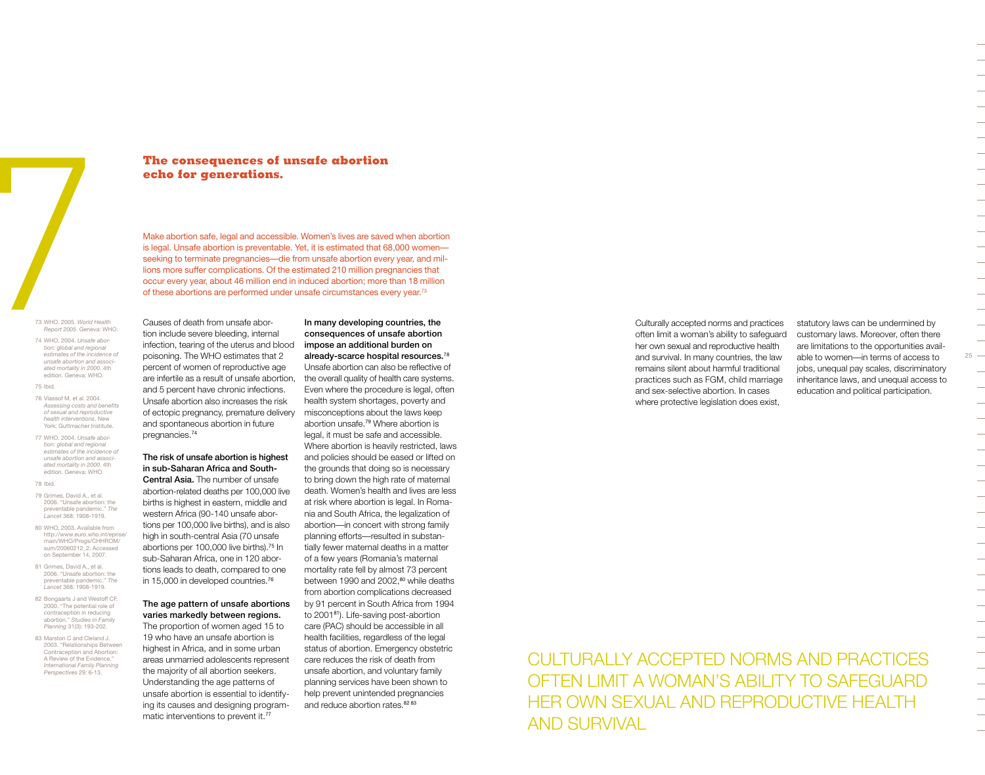

# **The consequences of unsafe abortion echo for generations.**

Make abortion safe, legal and accessible. Women's lives are saved when abortion is legal. Unsafe abortion is preventable. Yet, it is estimated that 68,000 women seeking to terminate pregnancies—die from unsafe abortion every year, and millions more suffer complications. Of the estimated 210 million pregnancies that occur every year, about 46 million end in induced abortion; more than 18 million of these abortions are performed under unsafe circumstances every year.73

73 WHO. 2005. *World Health Report 2005*. Geneva: WHO.

74 WHO. 2004. *Unsafe abortion: global and regional estimates of the incidence of unsafe abortion and associated mortality in 2000*. 4th edition. Geneva: WHO.

### 75 Ibid.

- 76 Vlassof M, et al. 2004. *Assessing costs and benefits of sexual and reproductive health interventions*. New York: Guttmacher Institute.
- 77 WHO. 2004. *Unsafe abortion: global and regional estimates of the incidence of unsafe abortion and associated mortality in 2000*. 4th edition. Geneva: WHO.

78 Ibid.

- 79 Grimes, David A., et al. 2006. "Unsafe abortion: the preventable pandemic." *The Lancet* 368: 1908-1919.
- 80 WHO, 2003. Available from http://www.euro.who.int/eprise/ main/WHO/Progs/CHHROM/ sum/20060212\_2; Accessed on September 14, 2007.
- 81 Grimes, David A., et al. 2006. "Unsafe abortion: the preventable pandemic." *The Lancet* 368: 1908-1919.
- 82 Bongaarts J and Westoff CF. 2000. "The potential role of contraception in reducing abortion." *Studies in Family Planning* 31(3): 193-202.
- 83 Marston C and Cleland J. 2003. "Relationships Between Contraception and Abortion: A Review of the Evidence." *International Family Planning Perspectives* 29: 6-13.

Causes of death from unsafe abortion include severe bleeding, internal infection, tearing of the uterus and blood poisoning. The WHO estimates that 2 percent of women of reproductive age are infertile as a result of unsafe abortion, and 5 percent have chronic infections. Unsafe abortion also increases the risk of ectopic pregnancy, premature delivery and spontaneous abortion in future pregnancies.<sup>74</sup>

#### The risk of unsafe abortion is highest in sub-Saharan Africa and South-Central Asia. The number of unsafe

abortion-related deaths per 100,000 live births is highest in eastern, middle and western Africa (90-140 unsafe abortions per 100,000 live births), and is also high in south-central Asia (70 unsafe abortions per 100,000 live births).75 In sub-Saharan Africa, one in 120 abortions leads to death, compared to one in 15,000 in developed countries.<sup>76</sup>

# The age pattern of unsafe abortions varies markedly between regions.

The proportion of women aged 15 to 19 who have an unsafe abortion is highest in Africa, and in some urban areas unmarried adolescents represent the majority of all abortion seekers. Understanding the age patterns of unsafe abortion is essential to identifying its causes and designing programmatic interventions to prevent it.<sup>77</sup>

In many developing countries, the consequences of unsafe abortion impose an additional burden on already-scarce hospital resources.<sup>78</sup> Unsafe abortion can also be reflective of the overall quality of health care systems. Even where the procedure is legal, often health system shortages, poverty and misconceptions about the laws keep abortion unsafe.79 Where abortion is legal, it must be safe and accessible. Where abortion is heavily restricted, laws and policies should be eased or lifted on the grounds that doing so is necessary to bring down the high rate of maternal death. Women's health and lives are less at risk where abortion is legal. In Romania and South Africa, the legalization of abortion—in concert with strong family planning efforts—resulted in substantially fewer maternal deaths in a matter of a few years (Romania's maternal mortality rate fell by almost 73 percent between 1990 and 2002,<sup>80</sup> while deaths from abortion complications decreased by 91 percent in South Africa from 1994 to 200181). Life-saving post-abortion care (PAC) should be accessible in all health facilities, regardless of the legal status of abortion. Emergency obstetric care reduces the risk of death from unsafe abortion, and voluntary family planning services have been shown to help prevent unintended pregnancies and reduce abortion rates.<sup>82 83</sup>

Culturally accepted norms and practices often limit a woman's ability to safeguard her own sexual and reproductive health and survival. In many countries, the law remains silent about harmful traditional practices such as FGM, child marriage and sex-selective abortion. In cases where protective legislation does exist,

statutory laws can be undermined by customary laws. Moreover, often there are limitations to the opportunities available to women—in terms of access to jobs, unequal pay scales, discriminatory inheritance laws, and unequal access to education and political participation.

 $25 -$ 

Culturally accepted norms and practices often limit a woman's ability to safeguard her own sexual and reproductive health and survival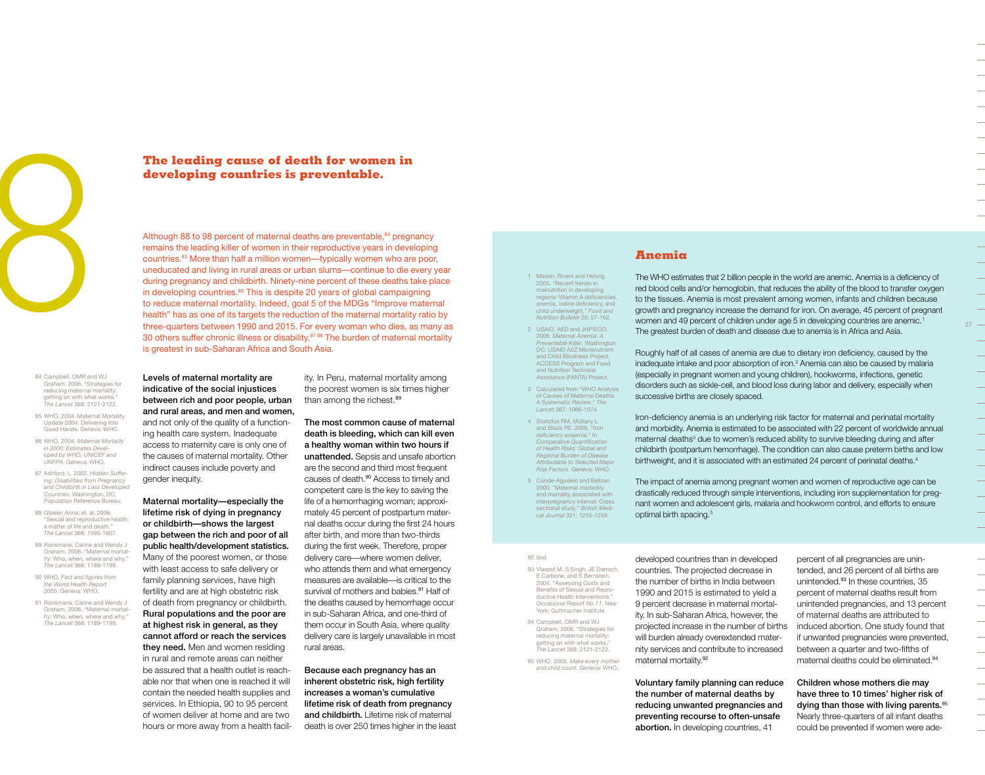

84 Campbell, OMR and WJ Graham. 2006. "Strategies for reducing maternal mortality: tting on with what works. *The Lancet* 368: 2121-2122.

85 WHO. 2004. Maternal Mortality Update 2004: Delivering Into Good Hands. Geneva: WHO.

86 WHO. 2004. *Maternal Mortality in 2000: Estimates Developed by WHO, UNICEF and UNFPA*. Geneva: WHO.

87 Ashford, L. 2002. *Hidden Suffering: Disabilities from Pregnancy*  and Childbirth in Less Developed *Countries*. Washington, DC: Population Reference Bureau.

- 88 Glasier, Anna, et. al. 2006. "Sexual and reproductive health: a matter of life and death." *The Lancet* 368: 1595-1607.
- 89 Ronsmans, Carine and Wendy J Graham. 2006. "Maternal mortality: Who, when, where and why. *The Lancet* 368: 1189-1199.
- 90 WHO. *Fact and figures from the World Health Report 2005*. Geneva: WHO.
- 91 Ronsmans, Carine and Wendy J Graham. 2006. "Maternal mortality: Who, when, where and why. *The Lancet* 368: 1189-1199.

**developing countries is preventable.**

**The leading cause of death for women in developing countries is preventable.**<sup>84</sup> pregnent of material conductions the leading killer of women in their reproductive years in develocutions.<sup>85</sup> More than half a million wom Although 88 to 98 percent of maternal deaths are preventable,<sup>84</sup> pregnancy remains the leading killer of women in their reproductive years in developing countries.85 More than half a million women—typically women who are poor, uneducated and living in rural areas or urban slums—continue to die every year during pregnancy and childbirth. Ninety-nine percent of these deaths take place in developing countries.<sup>86</sup> This is despite 20 years of global campaigning to reduce maternal mortality. Indeed, goal 5 of the MDGs "Improve maternal health" has as one of its targets the reduction of the maternal mortality ratio by three-quarters between 1990 and 2015. For every woman who dies, as many as 30 others suffer chronic illness or disability.<sup>87 88</sup> The burden of maternal mortality is greatest in sub-Saharan Africa and South Asia.

> Levels of maternal mortality are indicative of the social injustices between rich and poor people, urban and rural areas, and men and women, and not only of the quality of a functioning health care system. Inadequate access to maternity care is only one of the causes of maternal mortality. Other indirect causes include poverty and gender inequity.

Maternal mortality—especially the lifetime risk of dying in pregnancy or childbirth—shows the largest gap between the rich and poor of all public health/development statistics. Many of the poorest women, or those with least access to safe delivery or family planning services, have high fertility and are at high obstetric risk of death from pregnancy or childbirth. Rural populations and the poor are at highest risk in general, as they cannot afford or reach the services they need. Men and women residing in rural and remote areas can neither be assured that a health outlet is reachable nor that when one is reached it will contain the needed health supplies and services. In Ethiopia, 90 to 95 percent of women deliver at home and are two hours or more away from a health facility. In Peru, maternal mortality among the poorest women is six times higher than among the richest.<sup>89</sup>

The most common cause of maternal death is bleeding, which can kill even a healthy woman within two hours if unattended. Sepsis and unsafe abortion are the second and third most frequent causes of death.<sup>90</sup> Access to timely and competent care is the key to saving the life of a hemorrhaging woman; approximately 45 percent of postpartum maternal deaths occur during the first 24 hours after birth, and more than two-thirds during the first week. Therefore, proper delivery care—where women deliver, who attends them and what emergency measures are available—is critical to the survival of mothers and babies.<sup>91</sup> Half of the deaths caused by hemorrhage occur in sub-Saharan Africa, and one-third of them occur in South Asia, where quality delivery care is largely unavailable in most rural areas.

Because each pregnancy has an inherent obstetric risk, high fertility increases a woman's cumulative lifetime risk of death from pregnancy and childbirth. Lifetime risk of maternal death is over 250 times higher in the least 1 Mason, Rivers and Helwig. 2005. "Recent trends in malnutrition in developing regions: Vitamin A deficiencie anemia, iodine deficiency, and child underweight." *Food and Nutrition Bulletin* 26: 57-162.

2 USAID, AED and JHPIEGO. 2006. *Maternal Anemia: A*  **Preventable Killer. Washingto** DC: USAID A2Z Micronutrient and Child Blindness Project, ACCESS Program and Food and Nutrition Technical Assistance (FANTA) Project.

3 Calculated from "WHO Analysis of Causes of Maternal Deaths: A Systematic Review." *The Lancet* 367: 1066-1074.

4 Stoltzfus RM, Mullany L and Black RE. 2005. "Iron deficiency anaemia." In *Comparative Quantification of Health Risks: Global and Regional Burden of Disease*  **Attributable to Selected Major** *Risk Factors*. Geneva: WHO.

5 Conde-Aqudelo and Belizan 2000. "Maternal morbidity and mortality associated with interpregnancy interval: Cross sectional study." British Medi *cal Journal* 321: 1255-1259

#### 92 Ibid.

93 Vlassof M, S Singh, JF Darroch E Carbone, and S Bernstein. 2004. "Assessing Costs and Benefits of Sexual and Reproductive Health Interventions *Occasional Report No.11*. New York: Guttmacher Institute.

94 Campbell, OMR and WJ Graham. 2006. "Strategies for reducing maternal mortality: getting on with what works." *The Lancet* 368: 2121-2122.

95 WHO. 2005. *Make every mother and child count*. Geneva: WHO.

developed countries than in developed countries. The projected decrease in the number of births in India between 1990 and 2015 is estimated to yield a 9 percent decrease in maternal mortality. In sub-Saharan Africa, however, the projected increase in the number of births will burden already overextended maternity services and contribute to increased maternal mortality.<sup>92</sup>

Voluntary family planning can reduce the number of maternal deaths by reducing unwanted pregnancies and preventing recourse to often-unsafe abortion. In developing countries, 41

percent of all pregnancies are unintended, and 26 percent of all births are unintended.93 In these countries, 35 percent of maternal deaths result from unintended pregnancies, and 13 percent of maternal deaths are attributed to induced abortion. One study found that if unwanted pregnancies were prevented, between a quarter and two-fifths of maternal deaths could be eliminated.<sup>94</sup>

Children whose mothers die may have three to 10 times' higher risk of dying than those with living parents.<sup>95</sup> Nearly three-quarters of all infant deaths could be prevented if women were ade-

### **Anemia**

The WHO estimates that 2 billion people in the world are anemic. Anemia is a deficiency of red blood cells and/or hemoglobin, that reduces the ability of the blood to transfer oxygen to the tissues. Anemia is most prevalent among women, infants and children because growth and pregnancy increase the demand for iron. On average, 45 percent of pregnant women and 49 percent of children under age 5 in developing countries are anemic.1 The greatest burden of death and disease due to anemia is in Africa and Asia.

Roughly half of all cases of anemia are due to dietary iron deficiency, caused by the inadequate intake and poor absorption of iron.2 Anemia can also be caused by malaria (especially in pregnant women and young children), hookworms, infections, genetic disorders such as sickle-cell, and blood loss during labor and delivery, especially when successive births are closely spaced.

Iron-deficiency anemia is an underlying risk factor for maternal and perinatal mortality and morbidity. Anemia is estimated to be associated with 22 percent of worldwide annual maternal deaths<sup>3</sup> due to women's reduced ability to survive bleeding during and after childbirth (postpartum hemorrhage). The condition can also cause preterm births and low birthweight, and it is associated with an estimated 24 percent of perinatal deaths.<sup>4</sup>

The impact of anemia among pregnant women and women of reproductive age can be drastically reduced through simple interventions, including iron supplementation for pregnant women and adolescent girls, malaria and hookworm control, and efforts to ensure optimal birth spacing.<sup>5</sup>

 $27 -$ 

 $\overline{\phantom{0}}$ 

 $\overline{\phantom{0}}$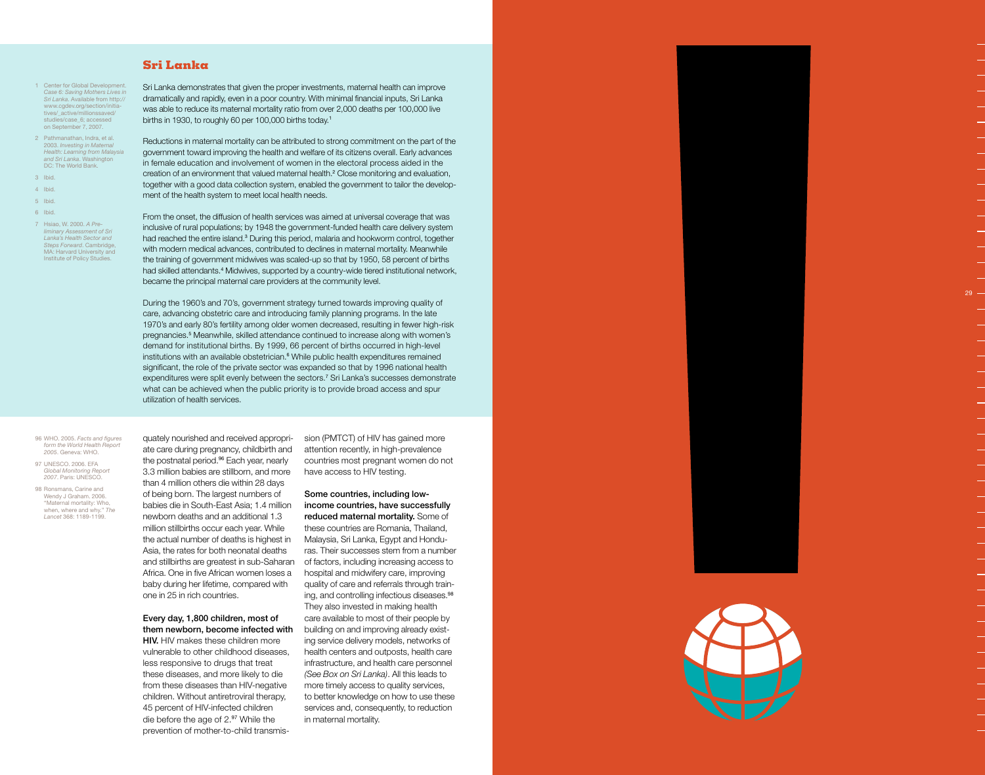# **Sri Lanka**

- 1 Center for Global Development. *Case 6: Saving Mothers Lives in Sri Lanka* . Available from http:// www.cgdev.org/section/initia tives/\_active/millionssaved/ studies/case\_6; accessed on September 7, 2007.
- 2 Pathmanathan, Indra, et al. 2003. *Investing in Maternal Health: Learning from Malaysia and Sri Lanka* . Washington DC: The World Bank.
- 3 Ibid.
- 4 Ibid.
- 5 Ibid.
- 6 Ibid.
- 7 Hsiao, W. 2000. *A Pre liminary Assessment of Sri Lanka's Health Sector and Steps Forward* . Cambridge, MA: Harvard University and Institute of Policy Studies.

Sri Lanka demonstrates that given the proper investments, maternal health can improve dramatically and rapidly, even in a poor country. With minimal financial inputs, Sri Lanka was able to reduce its maternal mortality ratio from over 2,000 deaths per 100,000 live births in 1930, to roughly 60 per 100,000 births today. 1

Reductions in maternal mortality can be attributed to strong commitment on the part of the government toward improving the health and welfare of its citizens overall. Early advances in female education and involvement of women in the electoral process aided in the creation of an environment that valued maternal health. 2 Close monitoring and evaluation, together with a good data collection system, enabled the government to tailor the develop ment of the health system to meet local health needs.

From the onset, the diffusion of health services was aimed at universal coverage that was inclusive of rural populations; by 1948 the government-funded health care delivery system had reached the entire island.<sup>3</sup> During this period, malaria and hookworm control, together with modern medical advances, contributed to declines in maternal mortality. Meanwhile the training of government midwives was scaled-up so that by 1950, 58 percent of births had skilled attendants. 4 Midwives, supported by a country-wide tiered institutional network, became the principal maternal care providers at the community level.

During the 1960's and 70's, government strategy turned towards improving quality of care, advancing obstetric care and introducing family planning programs. In the late 1970's and early 80's fertility among older women decreased, resulting in fewer high-risk pregnancies. 5 Meanwhile, skilled attendance continued to increase along with women's demand for institutional births. By 1999, 66 percent of births occurred in high-level institutions with an available obstetrician. 6 While public health expenditures remained significant, the role of the private sector was expanded so that by 1996 national health expenditures were split evenly between the sectors. 7 Sri Lanka's successes demonstrate what can be achieved when the public priority is to provide broad access and spur utilization of health services.

96 WHO. 2005. *Facts and figures form the World Health Report 2005* . Geneva: WHO.

97 UNESCO. 2006. EFA *Global Monitoring Report 2007* . Paris: UNESCO.

98 Ronsmans, Carine and Wendy J Graham. 2006. "Maternal mortality: Who, when, where and why." *The Lancet* 368: 1189-1199.

quately nourished and received appropri ate care during pregnancy, childbirth and the postnatal period.<sup>96</sup> Each year, nearly 3.3 million babies are stillborn, and more than 4 million others die within 28 days of being born. The largest numbers of babies die in South-East Asia; 1.4 million newborn deaths and an additional 1.3 million stillbirths occur each year. While the actual number of deaths is highest in Asia, the rates for both neonatal deaths and stillbirths are greatest in sub-Saharan Africa. One in five African women loses a baby during her lifetime, compared with one in 25 in rich countries.

Every day, 1,800 children, most of them newborn, become infected with **HIV.** HIV makes these children more

vulnerable to other childhood diseases, less responsive to drugs that treat these diseases, and more likely to die from these diseases than HIV-negative children. Without antiretroviral therapy, 45 percent of HIV-infected children die before the age of 2.97 While the prevention of mother-to-child transmis - sion (PMTCT) of HIV has gained more attention recently, in high-prevalence countries most pregnant women do not have access to HIV testing.

Some countries, including lowincome countries, have successfully reduced maternal mortality. Some of these countries are Romania, Thailand, Malaysia, Sri Lanka, Egypt and Hondu ras. Their successes stem from a number of factors, including increasing access to hospital and midwifery care, improving quality of care and referrals through train ing, and controlling infectious diseases.<sup>98</sup> They also invested in making health care available to most of their people by building on and improving already exist ing service delivery models, networks of health centers and outposts, health care infrastructure, and health care personnel *(See Box on Sri Lanka)*. All this leads to more timely access to quality services, to better knowledge on how to use these services and, consequently, to reduction in maternal mortality.



29.

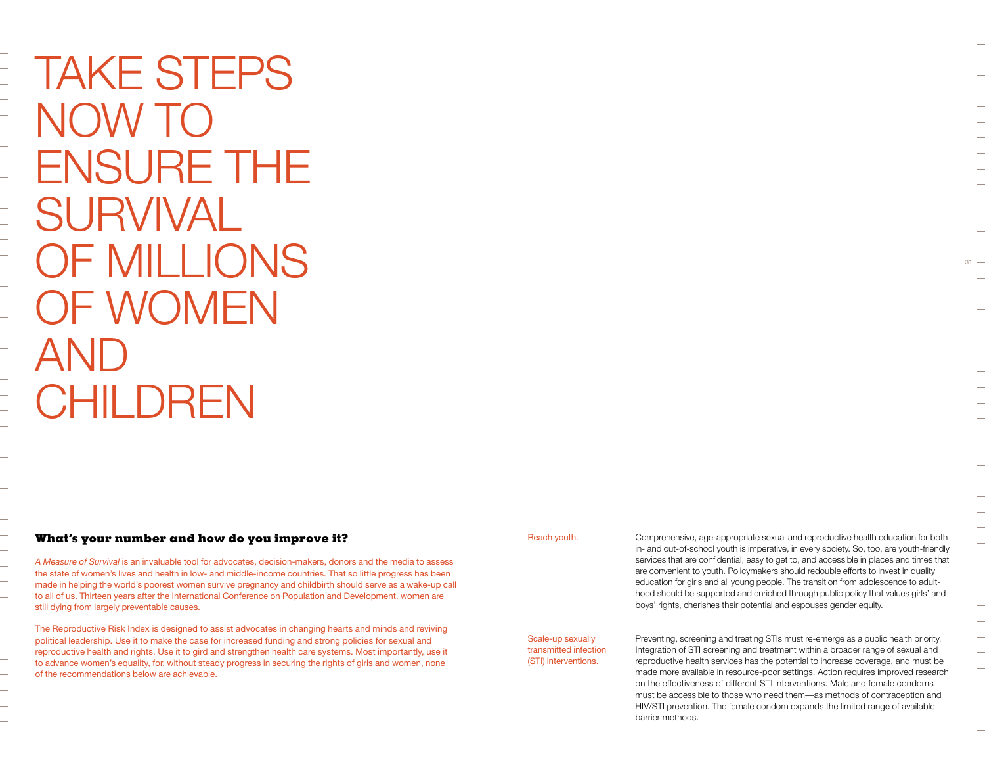Take steps now to ensure the **SURVIVAL** OF MILLIONS of women **AND CHILDREN** 

 $\frac{1}{1}$ 

 $\equiv$ 

 $\frac{1}{1}$ 

 $\equiv$ 

 $\overline{\phantom{0}}$ 

÷,

# **What's your number and how do you improve it?**

*A Measure of Survival* is an invaluable tool for advocates, decision-makers, donors and the media to assess the state of women's lives and health in low- and middle-income countries. That so little progress has been made in helping the world's poorest women survive pregnancy and childbirth should serve as a wake-up call to all of us. Thirteen years after the International Conference on Population and Development, women are still dying from largely preventable causes.

The Reproductive Risk Index is designed to assist advocates in changing hearts and minds and reviving political leadership. Use it to make the case for increased funding and strong policies for sexual and reproductive health and rights. Use it to gird and strengthen health care systems. Most importantly, use it to advance women's equality, for, without steady progress in securing the rights of girls and women, none of the recommendations below are achievable.

Reach youth.

Comprehensive, age-appropriate sexual and reproductive health education for both in- and out-of-school youth is imperative, in every society. So, too, are youth-friendly services that are confidential, easy to get to, and accessible in places and times that are convenient to youth. Policymakers should redouble efforts to invest in quality education for girls and all young people. The transition from adolescence to adulthood should be supported and enriched through public policy that values girls' and boys' rights, cherishes their potential and espouses gender equity.

Scale-up sexually transmitted infection (STI) interventions.

barrier methods.

Preventing, screening and treating STIs must re-emerge as a public health priority. Integration of STI screening and treatment within a broader range of sexual and reproductive health services has the potential to increase coverage, and must be made more available in resource-poor settings. Action requires improved research on the effectiveness of different STI interventions. Male and female condoms must be accessible to those who need them—as methods of contraception and

HIV/STI prevention. The female condom expands the limited range of available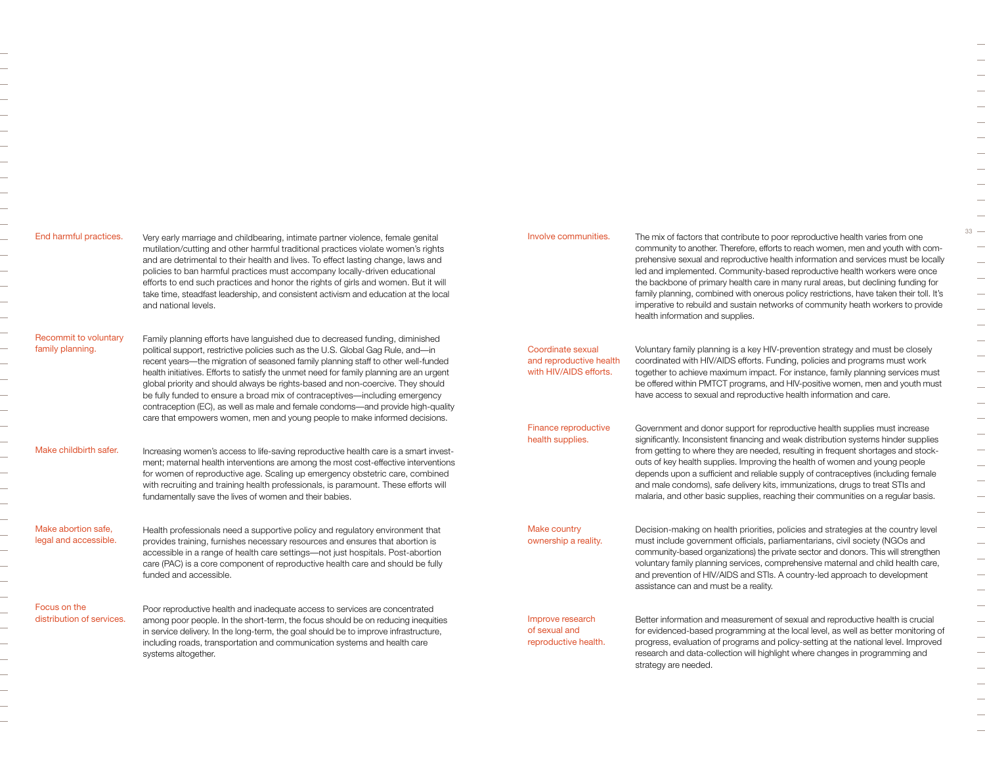| End harmful practices.                       | Very early marriage and childbearing, intimate partner violence, female genital<br>mutilation/cutting and other harmful traditional practices violate women's rights<br>and are detrimental to their health and lives. To effect lasting change, laws and<br>policies to ban harmful practices must accompany locally-driven educational<br>efforts to end such practices and honor the rights of girls and women. But it will<br>take time, steadfast leadership, and consistent activism and education at the local<br>and national levels.                                                                                                                                       | Involve communities.                                                                         |
|----------------------------------------------|-------------------------------------------------------------------------------------------------------------------------------------------------------------------------------------------------------------------------------------------------------------------------------------------------------------------------------------------------------------------------------------------------------------------------------------------------------------------------------------------------------------------------------------------------------------------------------------------------------------------------------------------------------------------------------------|----------------------------------------------------------------------------------------------|
| Recommit to voluntary<br>family planning.    | Family planning efforts have languished due to decreased funding, diminished<br>political support, restrictive policies such as the U.S. Global Gag Rule, and-in<br>recent years-the migration of seasoned family planning staff to other well-funded<br>health initiatives. Efforts to satisfy the unmet need for family planning are an urgent<br>global priority and should always be rights-based and non-coercive. They should<br>be fully funded to ensure a broad mix of contraceptives-including emergency<br>contraception (EC), as well as male and female condoms-and provide high-quality<br>care that empowers women, men and young people to make informed decisions. | Coordinate sexual<br>and reproductive heal<br>with HIV/AIDS efforts.<br>Finance reproductive |
| Make childbirth safer.                       | Increasing women's access to life-saving reproductive health care is a smart invest-<br>ment; maternal health interventions are among the most cost-effective interventions<br>for women of reproductive age. Scaling up emergency obstetric care, combined<br>with recruiting and training health professionals, is paramount. These efforts will<br>fundamentally save the lives of women and their babies.                                                                                                                                                                                                                                                                       | health supplies.                                                                             |
| Make abortion safe.<br>legal and accessible. | Health professionals need a supportive policy and regulatory environment that<br>provides training, furnishes necessary resources and ensures that abortion is<br>accessible in a range of health care settings-not just hospitals. Post-abortion<br>care (PAC) is a core component of reproductive health care and should be fully<br>funded and accessible.                                                                                                                                                                                                                                                                                                                       | <b>Make country</b><br>ownership a reality.                                                  |
| Focus on the<br>distribution of services.    | Poor reproductive health and inadequate access to services are concentrated<br>among poor people. In the short-term, the focus should be on reducing inequities<br>in service delivery. In the long-term, the goal should be to improve infrastructure,<br>including roads, transportation and communication systems and health care<br>systems altogether.                                                                                                                                                                                                                                                                                                                         | Improve research<br>of sexual and<br>reproductive health.                                    |
|                                              |                                                                                                                                                                                                                                                                                                                                                                                                                                                                                                                                                                                                                                                                                     |                                                                                              |

 $\overline{\phantom{0}}$  $\overline{\phantom{0}}$  $\overline{\phantom{0}}$  $\overline{\phantom{0}}$  $\overline{\phantom{0}}$ 

> The mix of factors that contribute to poor reproductive health varies from one community to another. Therefore, efforts to reach women, men and youth with comprehensive sexual and reproductive health information and services must be locally led and implemented. Community-based reproductive health workers were once the backbone of primary health care in many rural areas, but declining funding for family planning, combined with onerous policy restrictions, have taken their toll. It's imperative to rebuild and sustain networks of community heath workers to provide health information and supplies.

Voluntary family planning is a key HIV-prevention strategy and must be closely coordinated with HIV/AIDS efforts. Funding, policies and programs must work together to achieve maximum impact. For instance, family planning services must be offered within PMTCT programs, and HIV-positive women, men and youth must have access to sexual and reproductive health information and care. health orts.

> Government and donor support for reproductive health supplies must increase significantly. Inconsistent financing and weak distribution systems hinder supplies from getting to where they are needed, resulting in frequent shortages and stockouts of key health supplies. Improving the health of women and young people depends upon a sufficient and reliable supply of contraceptives (including female and male condoms), safe delivery kits, immunizations, drugs to treat STIs and malaria, and other basic supplies, reaching their communities on a regular basis.

Decision-making on health priorities, policies and strategies at the country level must include government officials, parliamentarians, civil society (NGOs and community-based organizations) the private sector and donors. This will strengthen voluntary family planning services, comprehensive maternal and child health care, and prevention of HIV/AIDS and STIs. A country-led approach to development assistance can and must be a reality.

Better information and measurement of sexual and reproductive health is crucial for evidenced-based programming at the local level, as well as better monitoring of progress, evaluation of programs and policy-setting at the national level. Improved research and data-collection will highlight where changes in programming and strategy are needed.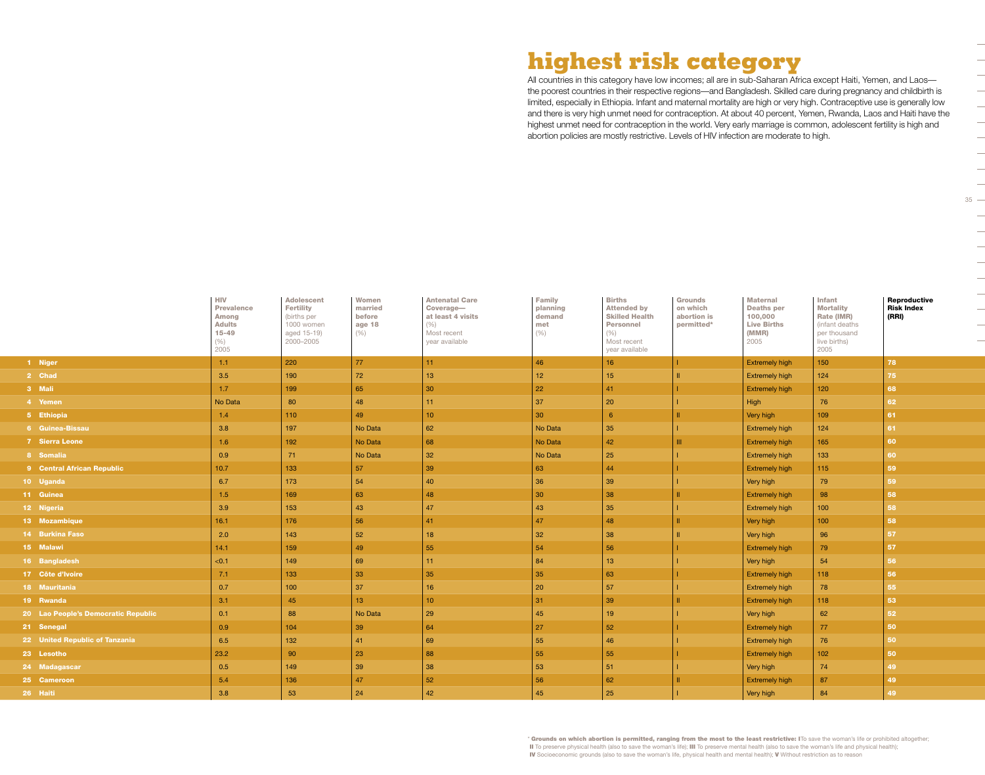# **highest risk category**

All countries in this category have low incomes; all are in sub-Saharan Africa except Haiti, Yemen, and Laosthe poorest countries in their respective regions—and Bangladesh. Skilled care during pregnancy and childbirth is limited, especially in Ethiopia. Infant and maternal mortality are high or very high. Contraceptive use is generally low and there is very high unmet need for contraception. At about 40 percent, Yemen, Rwanda, Laos and Haiti have the highest unmet need for contraception in the world. Very early marriage is common, adolescent fertility is high and abortion policies are mostly restrictive. Levels of HIV infection are moderate to high.

|                                     | <b>HIV</b><br><b>Prevalence</b><br>Among<br><b>Adults</b><br>$15 - 49$<br>(%)<br>2005 | <b>Adolescent</b><br><b>Fertility</b><br>(births per<br>1000 women<br>aged 15-19)<br>2000-2005 | Women<br>married<br>before<br>age 18<br>(% ) | <b>Antenatal Care</b><br>Coverage-<br>at least 4 visits<br>(% )<br>Most recent<br>year available | <b>Family</b><br>planning<br>demand<br>met<br>(%) | <b>Births</b><br><b>Attended by</b><br><b>Skilled Health</b><br><b>Personnel</b><br>(%)<br>Most recent<br>year available | <b>Grounds</b><br>on which<br>abortion is<br>permitted* | <b>Maternal</b><br><b>Deaths per</b><br>100,000<br><b>Live Births</b><br>(MMR)<br>2005 | <b>Infant</b><br><b>Mortality</b><br>Rate (IMR)<br>(infant deaths<br>per thousand<br>live births)<br>2005 | Reproductive<br><b>Risk Index</b><br>(RRI) |
|-------------------------------------|---------------------------------------------------------------------------------------|------------------------------------------------------------------------------------------------|----------------------------------------------|--------------------------------------------------------------------------------------------------|---------------------------------------------------|--------------------------------------------------------------------------------------------------------------------------|---------------------------------------------------------|----------------------------------------------------------------------------------------|-----------------------------------------------------------------------------------------------------------|--------------------------------------------|
| 1 Niger                             | 1.1                                                                                   | 220                                                                                            | 77                                           | 11                                                                                               | 46                                                | 16 <sup>°</sup>                                                                                                          | $\mathbf{L}$                                            | <b>Extremely high</b>                                                                  | 150                                                                                                       | 78                                         |
| 2 Chad                              | 3.5                                                                                   | 190                                                                                            | 72                                           | 13                                                                                               | 12                                                | 15                                                                                                                       |                                                         | <b>Extremely high</b>                                                                  | 124                                                                                                       | 75                                         |
| 3 Mali                              | 1.7                                                                                   | 199                                                                                            | 65                                           | 30                                                                                               | 22                                                | 41                                                                                                                       |                                                         | <b>Extremely high</b>                                                                  | 120                                                                                                       | 68                                         |
| 4 Yemen                             | No Data                                                                               | 80                                                                                             | 48                                           | 11                                                                                               | 37                                                | 20                                                                                                                       |                                                         | High                                                                                   | 76                                                                                                        | 62                                         |
| 5 Ethiopia                          | 1.4                                                                                   | 110                                                                                            | 49                                           | 10 <sub>1</sub>                                                                                  | 30 <sup>°</sup>                                   | 6                                                                                                                        |                                                         | Very high                                                                              | 109                                                                                                       | 61                                         |
| 6 Guinea-Bissau                     | 3.8                                                                                   | 197                                                                                            | No Data                                      | 62                                                                                               | No Data                                           | 35                                                                                                                       |                                                         | <b>Extremely high</b>                                                                  | 124                                                                                                       | 61                                         |
| 7 Sierra Leone                      | 1.6                                                                                   | 192                                                                                            | No Data                                      | 68                                                                                               | No Data                                           | 42                                                                                                                       | Ш                                                       | <b>Extremely high</b>                                                                  | 165                                                                                                       | 60                                         |
| 8 Somalia                           | 0.9                                                                                   | 71                                                                                             | No Data                                      | 32                                                                                               | No Data                                           | 25                                                                                                                       |                                                         | <b>Extremely high</b>                                                                  | 133                                                                                                       | 60                                         |
| 9 Central African Republic          | 10.7                                                                                  | 133                                                                                            | 57                                           | 39                                                                                               | 63                                                | 44                                                                                                                       |                                                         | <b>Extremely high</b>                                                                  | 115                                                                                                       | 59                                         |
| 10 Uganda                           | 6.7                                                                                   | 173                                                                                            | 54                                           | 40                                                                                               | 36                                                | 39                                                                                                                       |                                                         | Very high                                                                              | 79                                                                                                        | 59                                         |
| 11 Guinea                           | 1.5                                                                                   | 169                                                                                            | 63                                           | 48                                                                                               | 30                                                | 38                                                                                                                       |                                                         | <b>Extremely high</b>                                                                  | 98                                                                                                        | 58                                         |
| 12 Nigeria                          | 3.9                                                                                   | 153                                                                                            | 43                                           | 47                                                                                               | 43                                                | 35                                                                                                                       |                                                         | <b>Extremely high</b>                                                                  | 100                                                                                                       | 58                                         |
| 13 Mozambique                       | 16.1                                                                                  | 176                                                                                            | 56                                           | 41                                                                                               | 47                                                | 48                                                                                                                       |                                                         | Very high                                                                              | 100                                                                                                       | 58                                         |
| 14 Burkina Faso                     | 2.0                                                                                   | 143                                                                                            | 52                                           | 18                                                                                               | 32                                                | 38                                                                                                                       |                                                         | Very high                                                                              | 96                                                                                                        | 57                                         |
| 15 Malawi                           | 14.1                                                                                  | 159                                                                                            | 49                                           | 55                                                                                               | 54                                                | 56                                                                                                                       |                                                         | <b>Extremely high</b>                                                                  | 79                                                                                                        | 57                                         |
| 16 Bangladesh                       | < 0.1                                                                                 | 149                                                                                            | 69                                           | 11                                                                                               | 84                                                | 13                                                                                                                       |                                                         | Very high                                                                              | 54                                                                                                        | 56                                         |
| 17 Côte d'Ivoire                    | 7.1                                                                                   | 133                                                                                            | 33                                           | 35                                                                                               | 35                                                | 63                                                                                                                       |                                                         | <b>Extremely high</b>                                                                  | 118                                                                                                       | 56                                         |
| 18 Mauritania                       | 0.7                                                                                   | 100                                                                                            | 37                                           | 16                                                                                               | 20                                                | 57                                                                                                                       |                                                         | <b>Extremely high</b>                                                                  | 78                                                                                                        | 55                                         |
| 19 Rwanda                           | 3.1                                                                                   | 45                                                                                             | 13 <sup>°</sup>                              | 10                                                                                               | 31                                                | 39                                                                                                                       |                                                         | <b>Extremely high</b>                                                                  | 118                                                                                                       | 53                                         |
| 20 Lao People's Democratic Republic | 0.1                                                                                   | 88                                                                                             | No Data                                      | 29                                                                                               | 45                                                | 19                                                                                                                       |                                                         | Very high                                                                              | 62                                                                                                        | 52                                         |
| 21 Senegal                          | 0.9                                                                                   | 104                                                                                            | 39                                           | 64                                                                                               | 27                                                | 52                                                                                                                       |                                                         | <b>Extremely high</b>                                                                  | 77                                                                                                        | 50                                         |
| 22 United Republic of Tanzania      | 6.5                                                                                   | 132                                                                                            | 41                                           | 69                                                                                               | 55                                                | 46                                                                                                                       |                                                         | <b>Extremely high</b>                                                                  | 76                                                                                                        | 50                                         |
| 23 Lesotho                          | 23.2                                                                                  | 90                                                                                             | 23                                           | 88                                                                                               | 55                                                | 55                                                                                                                       |                                                         | <b>Extremely high</b>                                                                  | 102                                                                                                       | 50                                         |
| 24 Madagascar                       | 0.5                                                                                   | 149                                                                                            | 39                                           | 38                                                                                               | 53                                                | 51                                                                                                                       |                                                         | Very high                                                                              | 74                                                                                                        | 49                                         |
| 25 Cameroon                         | 5.4                                                                                   | 136                                                                                            | 47                                           | 52                                                                                               | 56                                                | 62                                                                                                                       |                                                         | <b>Extremely high</b>                                                                  | 87                                                                                                        | 49                                         |
| 26 Haiti                            | 3.8                                                                                   | 53                                                                                             | 24                                           | 42                                                                                               | 45                                                | 25                                                                                                                       |                                                         | Very high                                                                              | 84                                                                                                        | 49                                         |

 $\frac{1}{\sqrt{2}}$  $\frac{1}{\sqrt{2}}$  $\frac{1}{\sqrt{1-\frac{1}{2}}}$  $\overline{a}$  $\frac{1}{2}$  $\overline{\phantom{a}}$  $35 \overline{\phantom{a}}$ 

\* Grounds on which abortion is permitted, ranging from the most to the least restrictive: ITo save the woman's life or prohibited altogether; II To preserve physical health (also to save the woman's life); III To preserve mental health (also to save the woman's life and physical health); IV Socioeconomic grounds (also to save the woman's life, physical health and mental health); V Without restriction as to reason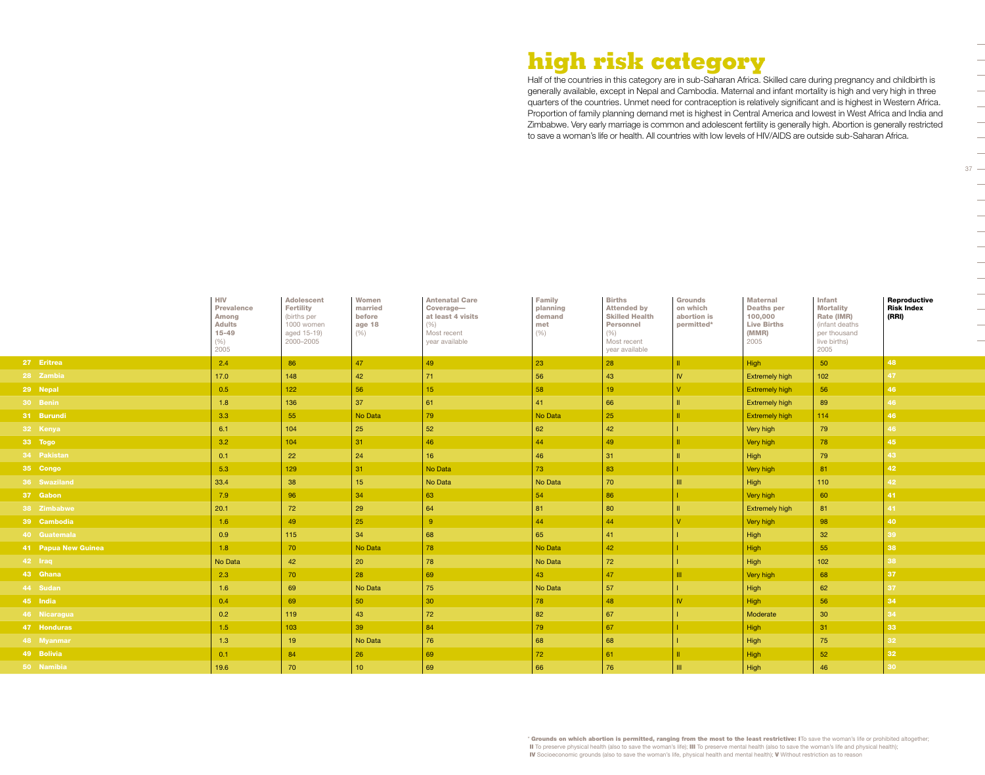# **high risk category**

Half of the countries in this category are in sub-Saharan Africa. Skilled care during pregnancy and childbirth is generally available, except in Nepal and Cambodia. Maternal and infant mortality is high and very high in three quarters of the countries. Unmet need for contraception is relatively significant and is highest in Western Africa. Proportion of family planning demand met is highest in Central America and lowest in West Africa and India and Zimbabwe. Very early marriage is common and adolescent fertility is generally high. Abortion is generally restricted to save a woman's life or health. All countries with low levels of HIV/AIDS are outside sub-Saharan Africa.

 $37 -$ 

 $\overline{\phantom{0}}$ 

 $\begin{array}{c} \begin{array}{c} \begin{array}{c} \end{array} \\ \begin{array}{c} \end{array} \end{array} \end{array}$ 

 $\frac{1}{2}$ 

 $\frac{1}{2}$ 

|                     | <b>HIV</b><br><b>Prevalence</b><br>Among<br><b>Adults</b><br>$15 - 49$<br>(% )<br>2005 | <b>Adolescent</b><br><b>Fertility</b><br>(births per<br>1000 women<br>aged 15-19)<br>2000-2005 | Women<br>married<br>before<br>age 18<br>(% ) | <b>Antenatal Care</b><br>Coverage-<br>at least 4 visits<br>(% )<br>Most recent<br>year available | Family<br>planning<br>demand<br>met<br>(% ) | <b>Births</b><br><b>Attended by</b><br><b>Skilled Health</b><br>Personnel<br>(% )<br>Most recent<br>year available | <b>Grounds</b><br>on which<br>abortion is<br>permitted* | <b>Maternal</b><br><b>Deaths per</b><br>100,000<br><b>Live Births</b><br>(MMR)<br>2005 | Infant<br><b>Mortality</b><br>Rate (IMR)<br>(infant deaths<br>per thousand<br>live births)<br>2005 | Reproductive<br><b>Risk Index</b><br>(RRI) |
|---------------------|----------------------------------------------------------------------------------------|------------------------------------------------------------------------------------------------|----------------------------------------------|--------------------------------------------------------------------------------------------------|---------------------------------------------|--------------------------------------------------------------------------------------------------------------------|---------------------------------------------------------|----------------------------------------------------------------------------------------|----------------------------------------------------------------------------------------------------|--------------------------------------------|
| 27 Eritrea          | 2.4                                                                                    | 86                                                                                             | 47                                           | 49                                                                                               | 23                                          | 28                                                                                                                 | $\mathbf{H}$                                            | High                                                                                   | 50                                                                                                 | 48                                         |
| 28 Zambia           | 17.0                                                                                   | 148                                                                                            | 42                                           | 71                                                                                               | 56                                          | 43                                                                                                                 | <b>IV</b>                                               | <b>Extremely high</b>                                                                  | 102                                                                                                |                                            |
| 29 Nepal            | 0.5                                                                                    | 122                                                                                            | 56                                           | 15                                                                                               | 58                                          | 19                                                                                                                 |                                                         | <b>Extremely high</b>                                                                  | 56                                                                                                 | 46                                         |
| 30 Benin            | 1.8                                                                                    | 136                                                                                            | 37                                           | 61                                                                                               | 41                                          | 66                                                                                                                 |                                                         | <b>Extremely high</b>                                                                  | 89                                                                                                 | 46                                         |
| 31 Burundi          | 3.3                                                                                    | 55                                                                                             | No Data                                      | 79                                                                                               | No Data                                     | 25                                                                                                                 |                                                         | <b>Extremely high</b>                                                                  | 114                                                                                                | 46                                         |
| 32 Kenya            | 6.1                                                                                    | 104                                                                                            | 25                                           | 52                                                                                               | 62                                          | 42                                                                                                                 |                                                         | Very high                                                                              | 79                                                                                                 |                                            |
| 33 Togo             | 3.2                                                                                    | 104                                                                                            | 31                                           | 46                                                                                               | 44                                          | 49                                                                                                                 |                                                         | Very high                                                                              | 78                                                                                                 | 45                                         |
| 34 Pakistan         | 0.1                                                                                    | 22                                                                                             | 24                                           | 16                                                                                               | 46                                          | 31                                                                                                                 |                                                         | High                                                                                   | 79                                                                                                 | 43                                         |
| 35 Congo            | 5.3                                                                                    | 129                                                                                            | 31                                           | No Data                                                                                          | 73                                          | 83                                                                                                                 |                                                         | Very high                                                                              | 81                                                                                                 | 42                                         |
| 36 Swaziland        | 33.4                                                                                   | 38                                                                                             | 15 <sub>15</sub>                             | No Data                                                                                          | No Data                                     | 70                                                                                                                 |                                                         | High                                                                                   | 110                                                                                                | 42                                         |
| 37 Gabon            | 7.9                                                                                    | 96                                                                                             | 34                                           | 63                                                                                               | 54                                          | 86                                                                                                                 |                                                         | Very high                                                                              | 60                                                                                                 | 41                                         |
| 38 Zimbabwe         | 20.1                                                                                   | 72                                                                                             | 29                                           | 64                                                                                               | 81                                          | 80                                                                                                                 |                                                         | <b>Extremely high</b>                                                                  | 81                                                                                                 |                                            |
| 39 Cambodia         | 1.6                                                                                    | 49                                                                                             | 25                                           | -9                                                                                               | 44                                          | 44                                                                                                                 |                                                         | Very high                                                                              | 98                                                                                                 | 40                                         |
| 40 Guatemala        | 0.9                                                                                    | 115                                                                                            | 34                                           | 68                                                                                               | 65                                          | 41                                                                                                                 |                                                         | High                                                                                   | 32 <sup>°</sup>                                                                                    | 39                                         |
| 41 Papua New Guinea | 1.8                                                                                    | 70                                                                                             | No Data                                      | 78                                                                                               | No Data                                     | 42                                                                                                                 |                                                         | <b>High</b>                                                                            | 55                                                                                                 | 38                                         |
| 42 Iraq             | No Data                                                                                | 42                                                                                             | 20                                           | 78                                                                                               | No Data                                     | 72                                                                                                                 |                                                         | High                                                                                   | 102                                                                                                |                                            |
| 43 Ghana            | 2.3                                                                                    | 70                                                                                             | 28                                           | 69                                                                                               | 43                                          | 47                                                                                                                 |                                                         | Very high                                                                              | 68                                                                                                 | 37                                         |
| 44 Sudan            | 1.6                                                                                    | 69                                                                                             | No Data                                      | 75                                                                                               | No Data                                     | 57                                                                                                                 |                                                         | High                                                                                   | 62                                                                                                 | 37                                         |
| 45 India            | 0.4                                                                                    | 69                                                                                             | 50                                           | 30                                                                                               | 78                                          | 48                                                                                                                 | <b>IV</b>                                               | <b>High</b>                                                                            | 56                                                                                                 | 34                                         |
| 46 Nicaragua        | 0.2                                                                                    | 119                                                                                            | 43                                           | 72                                                                                               | 82                                          | 67                                                                                                                 |                                                         | Moderate                                                                               | 30                                                                                                 |                                            |
| 47 Honduras         | 1.5                                                                                    | 103                                                                                            | 39                                           | 84                                                                                               | 79                                          | 67                                                                                                                 |                                                         | <b>High</b>                                                                            | 31                                                                                                 | 33                                         |
| 48 Myanmar          | 1.3                                                                                    | 19 <sup>°</sup>                                                                                | No Data                                      | 76                                                                                               | 68                                          | 68                                                                                                                 |                                                         | High                                                                                   | 75                                                                                                 | 32                                         |
| 49 Bolivia          | 0.1                                                                                    | 84                                                                                             | 26                                           | 69                                                                                               | 72                                          | 61                                                                                                                 |                                                         | High                                                                                   | 52                                                                                                 | 32                                         |
| 50 Namibia          | 19.6                                                                                   | 70                                                                                             | 10 <sup>°</sup>                              | 69                                                                                               | 66                                          | 76                                                                                                                 |                                                         | High                                                                                   | 46                                                                                                 |                                            |

\* Grounds on which abortion is permitted, ranging from the most to the least restrictive: ITo save the woman's life or prohibited altogether; II To preserve physical health (also to save the woman's life); III To preserve mental health (also to save the woman's life and physical health); IV Socioeconomic grounds (also to save the woman's life, physical health and mental health); V Without restriction as to reason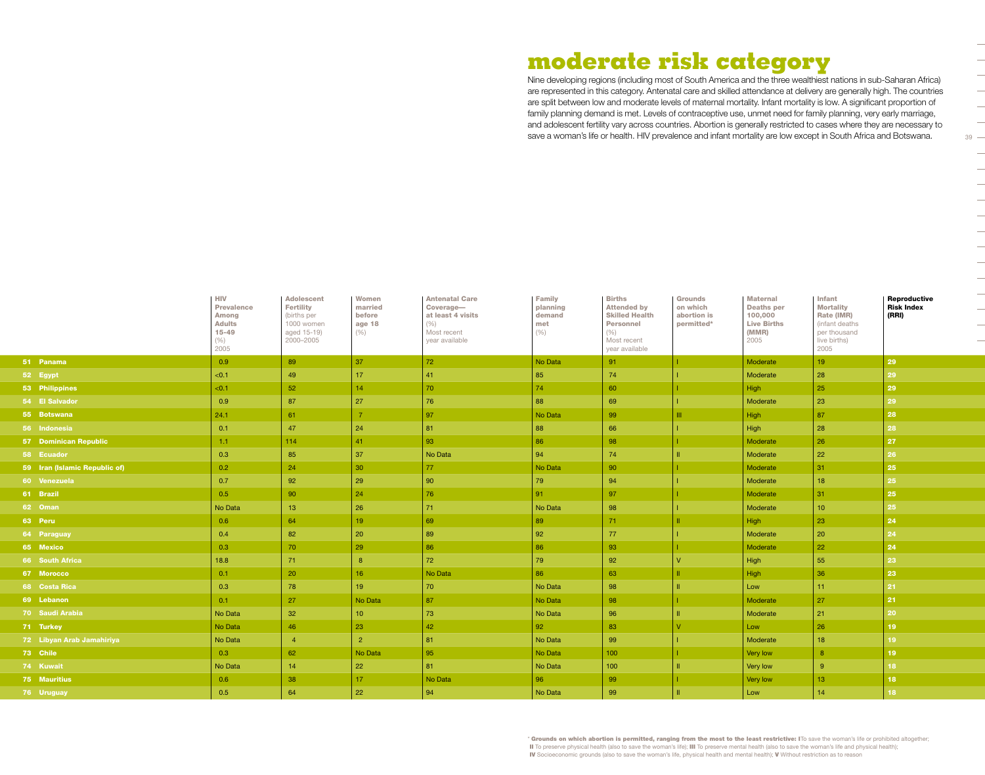# **moderate risk category**

Nine developing regions (including most of South America and the three wealthiest nations in sub-Saharan Africa) are represented in this category. Antenatal care and skilled attendance at delivery are generally high. The countries are split between low and moderate levels of maternal mortality. Infant mortality is low. A significant proportion of family planning demand is met. Levels of contraceptive use, unmet need for family planning, very early marriage, and adolescent fertility vary across countries. Abortion is generally restricted to cases where they are necessary to save a woman's life or health. HIV prevalence and infant mortality are low except in South Africa and Botswana.

|                               | <b>HIV</b><br><b>Prevalence</b><br><b>Among</b><br><b>Adults</b><br>$15 - 49$<br>(% )<br>2005 | <b>Adolescent</b><br><b>Fertility</b><br>(births per<br>1000 women<br>aged 15-19)<br>2000-2005 | Women<br>married<br>before<br>age 18<br>(% ) | <b>Antenatal Care</b><br>Coverage-<br>at least 4 visits<br>(% )<br>Most recent<br>year available | <b>Family</b><br>planning<br>demand<br>met<br>(% ) | <b>Births</b><br><b>Attended by</b><br><b>Skilled Health</b><br><b>Personnel</b><br>(% )<br>Most recent<br>year available | <b>Grounds</b><br>on which<br>abortion is<br>permitted* | <b>Maternal</b><br><b>Deaths per</b><br>100,000<br><b>Live Births</b><br>(MMR)<br>2005 | Infant<br><b>Mortality</b><br>Rate (IMR)<br>(infant deaths<br>per thousand<br>live births)<br>2005 | Reproductive<br><b>Risk Index</b><br>(RRI) |
|-------------------------------|-----------------------------------------------------------------------------------------------|------------------------------------------------------------------------------------------------|----------------------------------------------|--------------------------------------------------------------------------------------------------|----------------------------------------------------|---------------------------------------------------------------------------------------------------------------------------|---------------------------------------------------------|----------------------------------------------------------------------------------------|----------------------------------------------------------------------------------------------------|--------------------------------------------|
| 51 Panama                     | 0.9                                                                                           | 89                                                                                             | 37                                           | $72\,$                                                                                           | No Data                                            | 91                                                                                                                        |                                                         | Moderate                                                                               | 19 <sup>°</sup>                                                                                    | 29                                         |
| 52 Egypt                      | < 0.1                                                                                         | 49                                                                                             | 17                                           | 41                                                                                               | 85                                                 | 74                                                                                                                        |                                                         | Moderate                                                                               | 28                                                                                                 | 29                                         |
| 53 Philippines                | < 0.1                                                                                         | 52                                                                                             | 14                                           | 70                                                                                               | 74                                                 | 60                                                                                                                        |                                                         | High                                                                                   | 25                                                                                                 | 29                                         |
| 54 El Salvador                | 0.9                                                                                           | 87                                                                                             | 27                                           | 76                                                                                               | 88                                                 | 69                                                                                                                        |                                                         | Moderate                                                                               | 23                                                                                                 | 29                                         |
| 55 Botswana                   | 24.1                                                                                          | 61                                                                                             |                                              | 97                                                                                               | No Data                                            | 99                                                                                                                        |                                                         | High                                                                                   | 87                                                                                                 | 28                                         |
| 56 Indonesia                  | 0.1                                                                                           | 47                                                                                             | 24                                           | 81                                                                                               | 88                                                 | 66                                                                                                                        |                                                         | High                                                                                   | 28                                                                                                 | 28                                         |
| <b>57 Dominican Republic</b>  | 1.1                                                                                           | 114                                                                                            | 41                                           | 93                                                                                               | 86                                                 | 98                                                                                                                        |                                                         | Moderate                                                                               | 26                                                                                                 | 27                                         |
| 58 Ecuador                    | 0.3                                                                                           | 85                                                                                             | 37                                           | No Data                                                                                          | 94                                                 | 74                                                                                                                        |                                                         | Moderate                                                                               | 22                                                                                                 | 26                                         |
| 59 Iran (Islamic Republic of) | 0.2                                                                                           | 24                                                                                             | 30                                           | 77                                                                                               | No Data                                            | 90                                                                                                                        |                                                         | Moderate                                                                               | 31 <sup>2</sup>                                                                                    | 25                                         |
| 60 Venezuela                  | 0.7                                                                                           | 92                                                                                             | 29                                           | 90                                                                                               | 79                                                 | 94                                                                                                                        |                                                         | Moderate                                                                               | 18                                                                                                 | 25                                         |
| 61 Brazil                     | 0.5                                                                                           | 90                                                                                             | 24                                           | 76                                                                                               | 91                                                 | 97                                                                                                                        |                                                         | Moderate                                                                               | 31 <sup>2</sup>                                                                                    | 25                                         |
| 62 Oman                       | No Data                                                                                       | 13                                                                                             | $26\,$                                       | 71                                                                                               | No Data                                            | 98                                                                                                                        |                                                         | Moderate                                                                               | 10 <sup>°</sup>                                                                                    | 25                                         |
| 63 Peru                       | 0.6                                                                                           | 64                                                                                             | 19 <sup>°</sup>                              | 69                                                                                               | 89                                                 | 71                                                                                                                        |                                                         | <b>High</b>                                                                            | 23                                                                                                 | 24                                         |
| 64 Paraguay                   | 0.4                                                                                           | 82                                                                                             | 20                                           | 89                                                                                               | 92                                                 | 77                                                                                                                        |                                                         | Moderate                                                                               | 20                                                                                                 | 24                                         |
| 65 Mexico                     | 0.3                                                                                           | 70                                                                                             | 29                                           | 86                                                                                               | 86                                                 | 93                                                                                                                        |                                                         | Moderate                                                                               | 22                                                                                                 | 24                                         |
| 66 South Africa               | 18.8                                                                                          | 71                                                                                             | 8                                            | 72                                                                                               | 79                                                 | 92                                                                                                                        |                                                         | High                                                                                   | 55                                                                                                 | 23                                         |
| 67 Morocco                    | 0.1                                                                                           | 20                                                                                             | 16 <sup>°</sup>                              | No Data                                                                                          | 86                                                 | 63                                                                                                                        |                                                         | High                                                                                   | 36                                                                                                 | 23                                         |
| 68 Costa Rica                 | 0.3                                                                                           | 78                                                                                             | 19                                           | 70                                                                                               | No Data                                            | 98                                                                                                                        |                                                         | Low                                                                                    | 11 <sub>1</sub>                                                                                    | 21                                         |
| 69 Lebanon                    | 0.1                                                                                           | 27                                                                                             | No Data                                      | 87                                                                                               | No Data                                            | 98                                                                                                                        |                                                         | <b>Moderate</b>                                                                        | 27                                                                                                 | 21                                         |
| 70 Saudi Arabia               | No Data                                                                                       | 32                                                                                             | 10 <sup>°</sup>                              | 73                                                                                               | No Data                                            | 96                                                                                                                        |                                                         | Moderate                                                                               | 21                                                                                                 | 20                                         |
| 71 Turkey                     | No Data                                                                                       | 46                                                                                             | 23                                           | 42                                                                                               | 92                                                 | 83                                                                                                                        |                                                         | Low                                                                                    | 26                                                                                                 | 19                                         |
| 72 Libyan Arab Jamahiriya     | No Data                                                                                       | $\overline{4}$                                                                                 | $\overline{2}$                               | 81                                                                                               | No Data                                            | 99                                                                                                                        |                                                         | Moderate                                                                               | 18                                                                                                 | 19                                         |
| 73 Chile                      | 0.3                                                                                           | 62                                                                                             | No Data                                      | 95                                                                                               | No Data                                            | 100 <sub>1</sub>                                                                                                          |                                                         | Very low                                                                               | 8                                                                                                  | 19                                         |
| 74 Kuwait                     | No Data                                                                                       | 14                                                                                             | 22                                           | 81                                                                                               | No Data                                            | 100                                                                                                                       |                                                         | Very low                                                                               | -9                                                                                                 | 18                                         |
| 75 Mauritius                  | 0.6                                                                                           | 38                                                                                             | 17                                           | No Data                                                                                          | 96                                                 | 99                                                                                                                        |                                                         | Very low                                                                               | 13 <sup>°</sup>                                                                                    | 18                                         |
| 76 Uruguay                    | 0.5                                                                                           | 64                                                                                             | 22                                           | 94                                                                                               | No Data                                            | 99                                                                                                                        |                                                         | Low                                                                                    | 14                                                                                                 | 18                                         |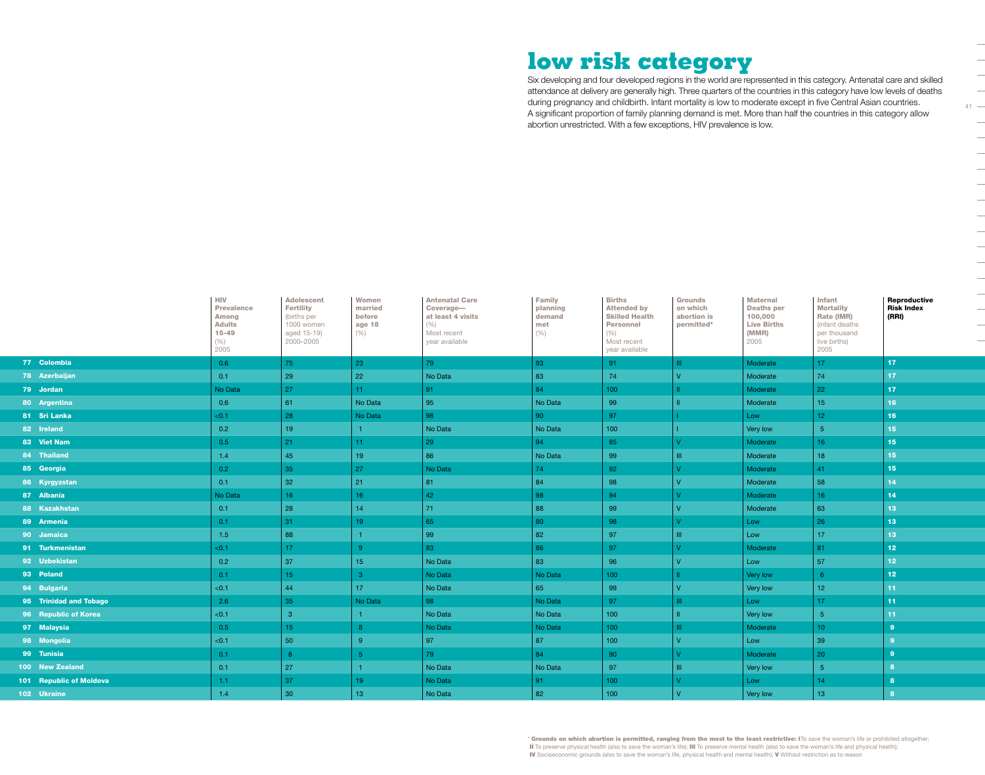# **low risk category**

Six developing and four developed regions in the world are represented in this category. Antenatal care and skilled attendance at delivery are generally high. Three quarters of the countries in this category have low levels of deaths during pregnancy and childbirth. Infant mortality is low to moderate except in five Central Asian countries. A significant proportion of family planning demand is met. More than half the countries in this category allow abortion unrestricted. With a few exceptions, HIV prevalence is low.

 $41 -$ 

 $\overline{\phantom{a}}$  $\frac{1}{2}$  $\overline{\phantom{a}}$  $\overline{\phantom{a}}$ 

 $\overline{\phantom{0}}$  $\overline{\phantom{0}}$  $\overline{\phantom{a}}$ 

|                         | <b>HIV</b><br><b>Prevalence</b><br>Among<br><b>Adults</b><br>$15 - 49$<br>$(\% )$<br>2005 | <b>Adolescent</b><br><b>Fertility</b><br>(births per<br>1000 women<br>aged 15-19)<br>2000-2005 | Women<br>married<br>before<br>age 18<br>(%) | <b>Antenatal Care</b><br>Coverage-<br>at least 4 visits<br>(% )<br>Most recent<br>year available | <b>Family</b><br>planning<br>demand<br>met<br>(% ) | <b>Births</b><br><b>Attended by</b><br><b>Skilled Health</b><br><b>Personnel</b><br>(%)<br>Most recent<br>year available | <b>Grounds</b><br>on which<br>abortion is<br>permitted* | <b>Maternal</b><br><b>Deaths per</b><br>100,000<br><b>Live Births</b><br>(MMR)<br>2005 | Infant<br><b>Mortality</b><br>Rate (IMR)<br>(infant deaths<br>per thousand<br>live births)<br>2005 | <b>Reproductive</b><br><b>Risk Index</b><br>(RRI) |
|-------------------------|-------------------------------------------------------------------------------------------|------------------------------------------------------------------------------------------------|---------------------------------------------|--------------------------------------------------------------------------------------------------|----------------------------------------------------|--------------------------------------------------------------------------------------------------------------------------|---------------------------------------------------------|----------------------------------------------------------------------------------------|----------------------------------------------------------------------------------------------------|---------------------------------------------------|
| 77 Colombia             | 0.6                                                                                       | 75                                                                                             | 23                                          | 79                                                                                               | 93                                                 | 91                                                                                                                       | Ш.                                                      | Moderate                                                                               | 17 <sup>2</sup>                                                                                    | 17 <sub>1</sub>                                   |
| 78 Azerbaijan           | 0.1                                                                                       | 29                                                                                             | 22                                          | No Data                                                                                          | 83                                                 | 74                                                                                                                       |                                                         | Moderate                                                                               | 74                                                                                                 | 17 <sup>2</sup>                                   |
| 79 Jordan               | No Data                                                                                   | 27                                                                                             | 11 <sub>1</sub>                             | 91                                                                                               | 84                                                 | 100 <sub>1</sub>                                                                                                         |                                                         | Moderate                                                                               | 22                                                                                                 | 17                                                |
| 80 Argentina            | 0.6                                                                                       | 61                                                                                             | No Data                                     | 95                                                                                               | No Data                                            | 99                                                                                                                       |                                                         | Moderate                                                                               | 15 <sub>1</sub>                                                                                    | 16                                                |
| 81 Sri Lanka            | < 0.1                                                                                     | 28                                                                                             | No Data                                     | 98                                                                                               | 90                                                 | 97                                                                                                                       |                                                         | Low                                                                                    | 12 <sub>1</sub>                                                                                    | 16                                                |
| 82 Ireland              | 0.2                                                                                       | 19                                                                                             | 1 <sup>1</sup>                              | No Data                                                                                          | No Data                                            | 100 <sub>1</sub>                                                                                                         |                                                         | Very low                                                                               | 5 <sup>1</sup>                                                                                     | 15 <sub>1</sub>                                   |
| 83 Viet Nam             | 0.5                                                                                       | 21                                                                                             | 11 <sub>1</sub>                             | 29                                                                                               | 94                                                 | 85                                                                                                                       |                                                         | Moderate                                                                               | 16 <sup>1</sup>                                                                                    | 15 <sub>15</sub>                                  |
| 84 Thailand             | 1.4                                                                                       | 45                                                                                             | 19                                          | 86                                                                                               | No Data                                            | 99                                                                                                                       |                                                         | Moderate                                                                               | 18 <sup>°</sup>                                                                                    | 15 <sub>15</sub>                                  |
| 85 Georgia              | 0.2 <sub>1</sub>                                                                          | 35                                                                                             | 27                                          | No Data                                                                                          | 74                                                 | 92                                                                                                                       |                                                         | Moderate                                                                               | 41                                                                                                 | 15 <sub>15</sub>                                  |
| 86 Kyrgyzstan           | 0.1                                                                                       | 32                                                                                             | 21                                          | 81                                                                                               | 84                                                 | 98                                                                                                                       |                                                         | Moderate                                                                               | 58                                                                                                 | 14                                                |
| 87 Albania              | No Data                                                                                   | 16                                                                                             | 16                                          | 42                                                                                               | 98                                                 | 94                                                                                                                       |                                                         | Moderate                                                                               | $16-$                                                                                              | 14                                                |
| 88 Kazakhstan           | 0.1                                                                                       | 28                                                                                             | 14                                          | 71                                                                                               | 88                                                 | 99                                                                                                                       |                                                         | Moderate                                                                               | 63                                                                                                 | 13 <sub>1</sub>                                   |
| 89 Armenia              | 0.1                                                                                       | 31                                                                                             | 19                                          | 65                                                                                               | 80                                                 | 98                                                                                                                       |                                                         | Low                                                                                    | 26                                                                                                 | 13 <sub>1</sub>                                   |
| 90 Jamaica              | 1.5                                                                                       | 88                                                                                             |                                             | 99                                                                                               | 82                                                 | 97                                                                                                                       | TH.                                                     | Low                                                                                    | 17                                                                                                 | 13 <sub>1</sub>                                   |
| 91 Turkmenistan         | < 0.1                                                                                     | 17                                                                                             | $\mathbf{q}$                                | 83                                                                                               | 86                                                 | 97                                                                                                                       |                                                         | Moderate                                                                               | 81                                                                                                 | 12 <sub>2</sub>                                   |
| 92 Uzbekistan           | 0.2                                                                                       | 37                                                                                             | 15 <sub>1</sub>                             | No Data                                                                                          | 83                                                 | 96                                                                                                                       |                                                         | Low                                                                                    | 57                                                                                                 | 12 <sub>1</sub>                                   |
| 93 Poland               | 0.1                                                                                       | 15                                                                                             | $\mathbf{3}$                                | No Data                                                                                          | No Data                                            | 100 <sub>1</sub>                                                                                                         |                                                         | Very low                                                                               | 6                                                                                                  | 12 <sub>2</sub>                                   |
| 94 Bulgaria             | < 0.1                                                                                     | 44                                                                                             | 17                                          | No Data                                                                                          | 65                                                 | 99                                                                                                                       |                                                         | Very low                                                                               | 12 <sup>7</sup>                                                                                    | 11                                                |
| 95 Trinidad and Tobago  | 2.6                                                                                       | 35                                                                                             | No Data                                     | 98                                                                                               | No Data                                            | 97                                                                                                                       | ш                                                       | Low                                                                                    | 17 <sup>2</sup>                                                                                    | 11                                                |
| 96 Republic of Korea    | < 0.1                                                                                     | $\overline{3}$                                                                                 |                                             | No Data                                                                                          | No Data                                            | 100                                                                                                                      |                                                         | Very low                                                                               | 5 <sup>1</sup>                                                                                     | 11                                                |
| 97 Malaysia             | 0.5                                                                                       | 15                                                                                             | $8^{\circ}$                                 | No Data                                                                                          | No Data                                            | 100 <sub>1</sub>                                                                                                         |                                                         | Moderate                                                                               | $10-10$                                                                                            | $\overline{9}$                                    |
| 98 Mongolia             | < 0.1                                                                                     | 50                                                                                             | $9^{\circ}$                                 | 97                                                                                               | 87                                                 | 100                                                                                                                      |                                                         | Low                                                                                    | 39                                                                                                 | -9                                                |
| 99 Tunisia              | 0.1                                                                                       | -8                                                                                             | -5                                          | 79                                                                                               | 84                                                 | 90                                                                                                                       |                                                         | Moderate                                                                               | 20                                                                                                 | $\mathbf{9}$                                      |
| 100 New Zealand         | 0.1                                                                                       | 27                                                                                             |                                             | No Data                                                                                          | No Data                                            | 97                                                                                                                       | TH <sub>1</sub>                                         | Very low                                                                               | 5 <sup>5</sup>                                                                                     | 8                                                 |
| 101 Republic of Moldova | 1.1                                                                                       | 37                                                                                             | 19                                          | No Data                                                                                          | 91                                                 | 100 <sub>1</sub>                                                                                                         |                                                         | Low                                                                                    | 14                                                                                                 | -8                                                |
| 102 Ukraine             | 1.4                                                                                       | 30                                                                                             | 13 <sub>13</sub>                            | No Data                                                                                          | 82                                                 | 100                                                                                                                      |                                                         | Very low                                                                               | 13 <sup>°</sup>                                                                                    | $\mathbf{a}$                                      |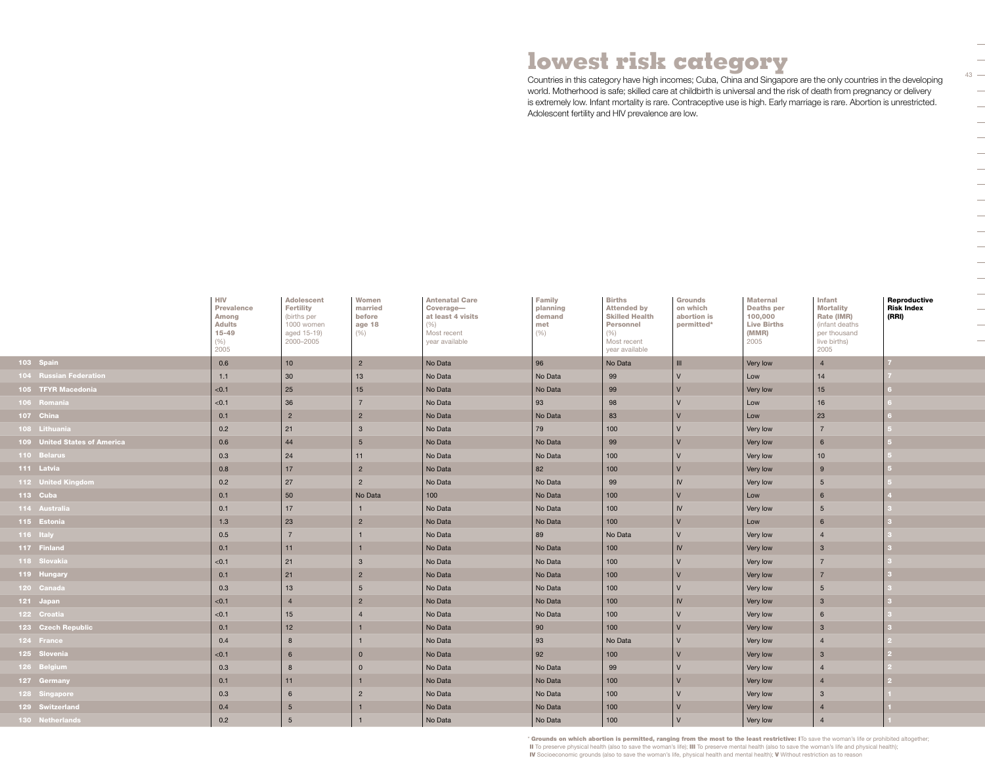# **lowest risk category**

Countries in this category have high incomes; Cuba, China and Singapore are the only countries in the developing world. Motherhood is safe; skilled care at childbirth is universal and the risk of death from pregnancy or delivery is extremely low. Infant mortality is rare. Contraceptive use is high. Early marriage is rare. Abortion is unrestricted. Adolescent fertility and HIV prevalence are low.

43

 $\overline{\phantom{a}}$ 

 $\overline{\phantom{0}}$  $\overline{\phantom{0}}$  $\frac{1}{\sqrt{2}}$  $\overline{\phantom{a}}$  $\overline{\phantom{a}}$  $\overline{\phantom{a}}$ 

|                               | <b>HIV</b><br><b>Prevalence</b><br><b>Among</b><br><b>Adults</b><br>$15 - 49$<br>$(\% )$<br>2005 | <b>Adolescent</b><br><b>Fertility</b><br>(births per<br>1000 women<br>aged 15-19)<br>2000-2005 | Women<br>married<br>before<br>age 18<br>$(\% )$ | <b>Antenatal Care</b><br>Coverage-<br>at least 4 visits<br>$(\% )$<br>Most recent<br>year available | <b>Family</b><br>planning<br>demand<br>met<br>(% ) | <b>Births</b><br><b>Attended by</b><br><b>Skilled Health</b><br><b>Personnel</b><br>(%)<br>Most recent<br>year available | <b>Grounds</b><br>on which<br>abortion is<br>permitted* | <b>Maternal</b><br><b>Deaths per</b><br>100,000<br><b>Live Births</b><br>(MMR)<br>2005 | Infant<br><b>Mortality</b><br>Rate (IMR)<br>(infant deaths<br>per thousand<br>live births)<br>2005 | Reproductive<br><b>Risk Index</b><br>(RRI) |
|-------------------------------|--------------------------------------------------------------------------------------------------|------------------------------------------------------------------------------------------------|-------------------------------------------------|-----------------------------------------------------------------------------------------------------|----------------------------------------------------|--------------------------------------------------------------------------------------------------------------------------|---------------------------------------------------------|----------------------------------------------------------------------------------------|----------------------------------------------------------------------------------------------------|--------------------------------------------|
| 103 Spain                     | 0.6                                                                                              | 10                                                                                             | $\overline{2}$                                  | No Data                                                                                             | 96                                                 | No Data                                                                                                                  | $\mathbf{H}$                                            | Very low                                                                               | $\overline{4}$                                                                                     |                                            |
| <b>104 Russian Federation</b> | 1.1                                                                                              | 30                                                                                             | 13                                              | No Data                                                                                             | No Data                                            | 99                                                                                                                       | $\mathsf{V}$                                            | Low                                                                                    | 14                                                                                                 |                                            |
| 105 TFYR Macedonia            | < 0.1                                                                                            | 25                                                                                             | 15                                              | No Data                                                                                             | No Data                                            | 99                                                                                                                       | $\vee$                                                  | Very low                                                                               | 15                                                                                                 |                                            |
| 106 Romania                   | < 0.1                                                                                            | 36                                                                                             | $\overline{7}$                                  | No Data                                                                                             | 93                                                 | 98                                                                                                                       |                                                         | Low                                                                                    | 16                                                                                                 |                                            |
| 107 China                     | 0.1                                                                                              | $\overline{2}$                                                                                 | $\overline{2}$                                  | No Data                                                                                             | No Data                                            | 83                                                                                                                       | $\vee$                                                  | Low                                                                                    | 23                                                                                                 |                                            |
| 108 Lithuania                 | 0.2                                                                                              | 21                                                                                             | $\mathbf{3}$                                    | No Data                                                                                             | 79                                                 | 100                                                                                                                      | $\vee$                                                  | Very low                                                                               | $\overline{7}$                                                                                     |                                            |
| 109 United States of America  | 0.6                                                                                              | 44                                                                                             | $5\overline{)}$                                 | No Data                                                                                             | No Data                                            | 99                                                                                                                       | $\vee$                                                  | Very low                                                                               | 6                                                                                                  |                                            |
| 110 Belarus                   | 0.3                                                                                              | 24                                                                                             | 11                                              | No Data                                                                                             | No Data                                            | 100                                                                                                                      | $\vee$                                                  | Very low                                                                               | 10                                                                                                 |                                            |
| 111 Latvia                    | 0.8                                                                                              | 17                                                                                             | $\overline{2}$                                  | No Data                                                                                             | 82                                                 | 100                                                                                                                      | $\vee$                                                  | Very low                                                                               | 9                                                                                                  |                                            |
| 112 United Kingdom            | 0.2                                                                                              | 27                                                                                             | $\overline{2}$                                  | No Data                                                                                             | No Data                                            | 99                                                                                                                       | IV                                                      | Very low                                                                               | 5                                                                                                  |                                            |
| 113 Cuba                      | 0.1                                                                                              | 50                                                                                             | No Data                                         | 100                                                                                                 | No Data                                            | 100                                                                                                                      | $\vee$                                                  | Low                                                                                    | 6                                                                                                  |                                            |
| 114 Australia                 | 0.1                                                                                              | 17                                                                                             |                                                 | No Data                                                                                             | No Data                                            | 100                                                                                                                      | IV                                                      | Very low                                                                               | 5                                                                                                  |                                            |
| 115 Estonia                   | 1.3                                                                                              | 23                                                                                             | $\overline{2}$                                  | No Data                                                                                             | No Data                                            | 100                                                                                                                      | $\vee$                                                  | Low                                                                                    | 6                                                                                                  |                                            |
| 116 Italy                     | 0.5                                                                                              | $\overline{7}$                                                                                 |                                                 | No Data                                                                                             | 89                                                 | No Data                                                                                                                  | $\vee$                                                  | Very low                                                                               | $\overline{4}$                                                                                     |                                            |
| 117 Finland                   | 0.1                                                                                              | 11                                                                                             | $\overline{1}$                                  | No Data                                                                                             | No Data                                            | 100                                                                                                                      | IV                                                      | Very low                                                                               | $\mathbf{3}$                                                                                       |                                            |
| 118 Slovakia                  | < 0.1                                                                                            | 21                                                                                             | $\mathbf{3}$                                    | No Data                                                                                             | No Data                                            | 100                                                                                                                      | $\vee$                                                  | Very low                                                                               | $\overline{7}$                                                                                     |                                            |
| 119 Hungary                   | 0.1                                                                                              | 21                                                                                             | $\overline{2}$                                  | No Data                                                                                             | No Data                                            | 100                                                                                                                      | $\vee$                                                  | Very low                                                                               | $\overline{7}$                                                                                     |                                            |
| 120 Canada                    | 0.3                                                                                              | 13                                                                                             | $5\phantom{.0}$                                 | No Data                                                                                             | No Data                                            | 100                                                                                                                      | $\overline{V}$                                          | Very low                                                                               | 5                                                                                                  |                                            |
| 121 Japan                     | < 0.1                                                                                            | $\overline{4}$                                                                                 | $\overline{2}$                                  | No Data                                                                                             | No Data                                            | 100                                                                                                                      | IV                                                      | Very low                                                                               | $\overline{3}$                                                                                     |                                            |
| 122 Croatia                   | < 0.1                                                                                            | 15                                                                                             | $\overline{4}$                                  | No Data                                                                                             | No Data                                            | 100                                                                                                                      | $\vee$                                                  | Very low                                                                               | 6                                                                                                  |                                            |
| 123 Czech Republic            | 0.1                                                                                              | 12                                                                                             |                                                 | No Data                                                                                             | 90                                                 | 100                                                                                                                      | $\vee$                                                  | Very low                                                                               | $\mathbf{3}$                                                                                       |                                            |
| 124 France                    | 0.4                                                                                              | 8                                                                                              |                                                 | No Data                                                                                             | 93                                                 | No Data                                                                                                                  | $\vee$                                                  | Very low                                                                               | $\overline{4}$                                                                                     |                                            |
| 125 Slovenia                  | < 0.1                                                                                            | $6\overline{6}$                                                                                | $\mathbf 0$                                     | No Data                                                                                             | 92                                                 | 100                                                                                                                      | $\mathsf{V}$                                            | Very low                                                                               | $\overline{3}$                                                                                     |                                            |
| 126 Belgium                   | 0.3                                                                                              | 8                                                                                              | $\mathbf 0$                                     | No Data                                                                                             | No Data                                            | 99                                                                                                                       | $\overline{V}$                                          | Very low                                                                               | $\Delta$                                                                                           |                                            |
| 127 Germany                   | 0.1                                                                                              | 11                                                                                             | $\overline{1}$                                  | No Data                                                                                             | No Data                                            | 100                                                                                                                      | $\mathsf{V}$                                            | Very low                                                                               | $\overline{4}$                                                                                     |                                            |
| 128 Singapore                 | 0.3                                                                                              | $6\overline{6}$                                                                                | $\overline{2}$                                  | No Data                                                                                             | No Data                                            | 100                                                                                                                      |                                                         | Very low                                                                               | $\mathbf{3}$                                                                                       |                                            |
| 129 Switzerland               | 0.4                                                                                              | $5\overline{)}$                                                                                |                                                 | No Data                                                                                             | No Data                                            | 100                                                                                                                      | $\mathsf{V}$                                            | Very low                                                                               | $\overline{4}$                                                                                     |                                            |
| 130 Netherlands               | 0.2                                                                                              | 5                                                                                              |                                                 | No Data                                                                                             | No Data                                            | 100                                                                                                                      | $\vee$                                                  | Very low                                                                               | $\Delta$                                                                                           |                                            |

\* Grounds on which abortion is permitted, ranging from the most to the least restrictive: ITo save the woman's life or prohibited altogether; II To preserve physical health (also to save the woman's life); III To preserve mental health (also to save the woman's life and physical health); IV Socioeconomic grounds (also to save the woman's life, physical health and mental health); V Without restriction as to reason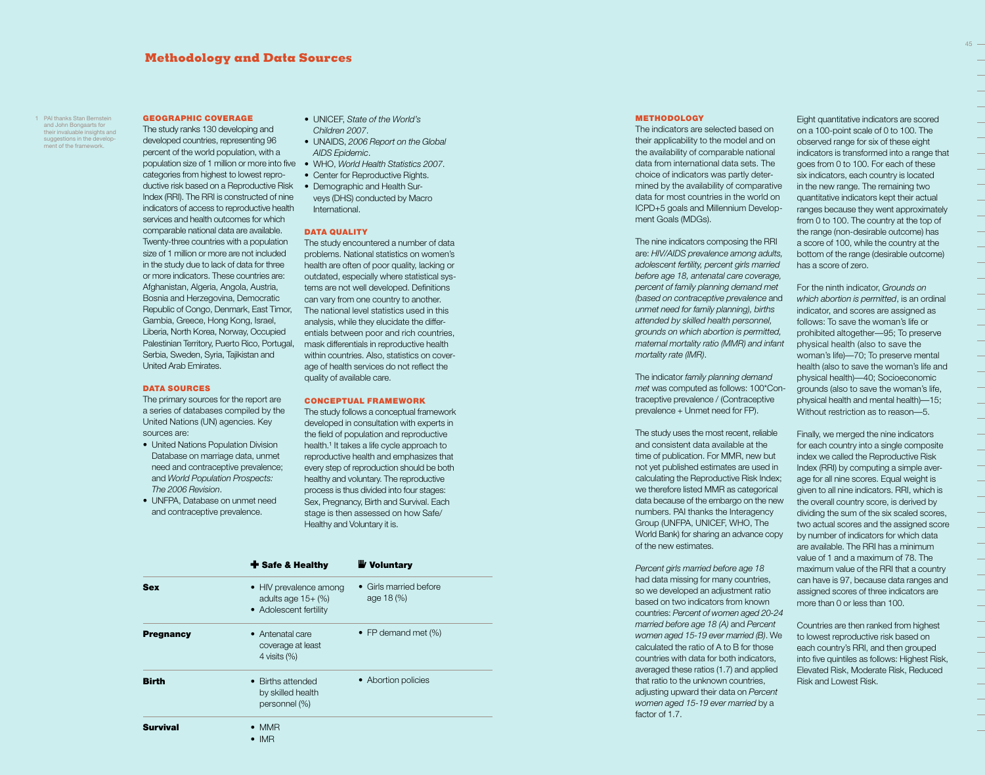# **Methodology and Data Sources**

1 PAI thanks Stan Bernstein and John Bongaarts for their invaluable insights and suggestions in the develop ment of the framework.

#### GEOGRAPHIC COVERAGE

The study ranks 130 developing and developed countries, representing 96 percent of the world population, with a population size of 1 million or more into five • WHO, *World Health Statistics 2007*. categories from highest to lowest reproductive risk based on a Reproductive Risk Index (RRI). The RRI is constructed of nine indicators of access to reproductive health services and health outcomes for which comparable national data are available. Twenty-three countries with a population size of 1 million or more are not included in the study due to lack of data for three or more indicators. These countries are: Afghanistan, Algeria, Angola, Austria, Bosnia and Herzegovina, Democratic Republic of Congo, Denmark, East Timor, Gambia, Greece, Hong Kong, Israel, Liberia, North Korea, Norway, Occupied Palestinian Territory, Puerto Rico, Portugal, Serbia, Sweden, Syria, Tajikistan and United Arab Emirates.

#### DATA SOURCES

The primary sources for the report are a series of databases compiled by the United Nations (UN) agencies. Key sources are:

- United Nations Population Division Database on marriage data, unmet need and contraceptive prevalence; and *World Population Prospects: The 2006 Revision*.
- UNFPA, Database on unmet need and contraceptive prevalence.
- UNICEF, *State of the World's Children 2007*.
- UNAIDS, *2006 Report on the Global AIDS Epidemic*.
- 
- Center for Reproductive Rights. • Demographic and Health Surveys (DHS) conducted by Macro
- International.

### DATA QUALITY

The study encountered a number of data problems. National statistics on women's health are often of poor quality, lacking or outdated, especially where statistical systems are not well developed. Definitions can vary from one country to another. The national level statistics used in this analysis, while they elucidate the differentials between poor and rich countries, mask differentials in reproductive health within countries. Also, statistics on coverage of health services do not reflect the quality of available care.

#### CONCEPTUAL FRAMEWORK

The study follows a conceptual framework developed in consultation with experts in the field of population and reproductive health.<sup>1</sup> It takes a life cycle approach to reproductive health and emphasizes that every step of reproduction should be both healthy and voluntary. The reproductive process is thus divided into four stages: Sex, Pregnancy, Birth and Survival. Each stage is then assessed on how Safe/ Healthy and Voluntary it is.

|                  | + Safe & Healthy                                                         | <b>W</b> Voluntary                      |
|------------------|--------------------------------------------------------------------------|-----------------------------------------|
| <b>Sex</b>       | • HIV prevalence among<br>adults age $15+$ (%)<br>• Adolescent fertility | • Girls married before<br>age $18\,(%)$ |
| <b>Pregnancy</b> | • Antenatal care<br>coverage at least<br>4 visits $(\%)$                 | • FP demand met $(\%)$                  |
| <b>Birth</b>     | • Births attended<br>by skilled health<br>personnel (%)                  | • Abortion policies                     |
| <b>Survival</b>  | $\bullet$ MMR<br>$\bullet$ IMR                                           |                                         |

#### METHODOLOGY

The indicators are selected based on their applicability to the model and on the availability of comparable national data from international data sets. The choice of indicators was partly determined by the availability of comparative data for most countries in the world on ICPD+5 goals and Millennium Development Goals (MDGs).

The nine indicators composing the RRI are: *HIV/AIDS prevalence among adults, adolescent fertility, percent girls married before age 18, antenatal care coverage, percent of family planning demand met (based on contraceptive prevalence* and *unmet need for family planning), births attended by skilled health personnel, grounds on which abortion is permitted, maternal mortality ratio (MMR) and infant mortality rate (IMR)*.

The indicator *family planning demand met* was computed as follows: 100\*Contraceptive prevalence / (Contraceptive prevalence + Unmet need for FP).

The study uses the most recent, reliable and consistent data available at the time of publication. For MMR, new but not yet published estimates are used in calculating the Reproductive Risk Index; we therefore listed MMR as categorical data because of the embargo on the new numbers. PAI thanks the Interagency Group (UNFPA, UNICEF, WHO, The World Bank) for sharing an advance copy of the new estimates.

*Percent girls married before age 18*  had data missing for many countries, so we developed an adjustment ratio based on two indicators from known countries: *Percent of women aged 20-24 married before age 18 (A)* and *Percent women aged 15-19 ever married (B)*. We calculated the ratio of A to B for those countries with data for both indicators, averaged these ratios (1.7) and applied that ratio to the unknown countries, adjusting upward their data on *Percent women aged 15-19 ever married* by a factor of 1.7.

Eight quantitative indicators are scored on a 100-point scale of 0 to 100. The observed range for six of these eight indicators is transformed into a range that goes from 0 to 100. For each of these six indicators, each country is located in the new range. The remaining two quantitative indicators kept their actual ranges because they went approximately from 0 to 100. The country at the top of the range (non-desirable outcome) has a score of 100, while the country at the bottom of the range (desirable outcome) has a score of zero.

For the ninth indicator, *Grounds on which abortion is permitted*, is an ordinal indicator, and scores are assigned as follows: To save the woman's life or prohibited altogether—95; To preserve physical health (also to save the woman's life)—70; To preserve mental health (also to save the woman's life and physical health)—40; Socioeconomic grounds (also to save the woman's life, physical health and mental health)—15; Without restriction as to reason—5.

Finally, we merged the nine indicators for each country into a single composite index we called the Reproductive Risk Index (RRI) by computing a simple average for all nine scores. Equal weight is given to all nine indicators. RRI, which is the overall country score, is derived by dividing the sum of the six scaled scores, two actual scores and the assigned score by number of indicators for which data are available. The RRI has a minimum value of 1 and a maximum of 78. The maximum value of the RRI that a country can have is 97, because data ranges and assigned scores of three indicators are more than 0 or less than 100.

Countries are then ranked from highest to lowest reproductive risk based on each country's RRI, and then grouped into five quintiles as follows: Highest Risk, Elevated Risk, Moderate Risk, Reduced Risk and Lowest Risk.

45

 $\overline{\phantom{a}}$ 

 $\overline{\phantom{0}}$